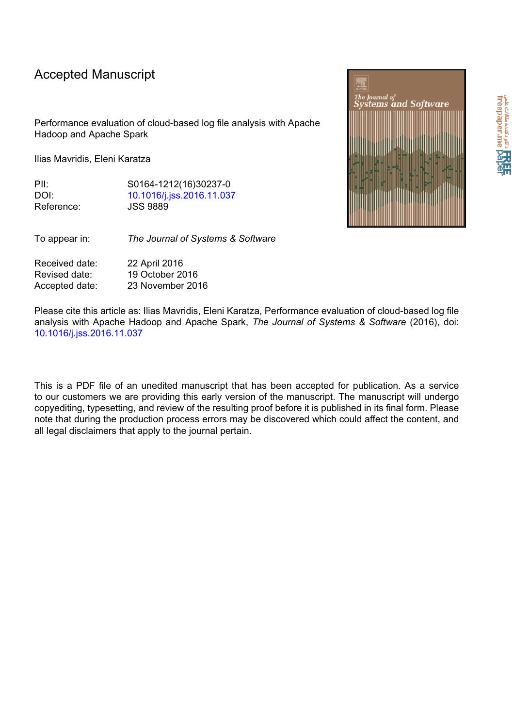# Accepted Manuscript

Performance evaluation of cloud-based log file analysis with Apache Hadoop and Apache Spark

Ilias Mavridis, Eleni Karatza

PII: S0164-1212(16)30237-0 DOI: [10.1016/j.jss.2016.11.037](http://dx.doi.org/10.1016/j.jss.2016.11.037) Reference: JSS 9889

To appear in: *The Journal of Systems & Software*

| Received date: | 22 April 2016    |
|----------------|------------------|
| Revised date:  | 19 October 2016  |
| Accepted date: | 23 November 2016 |

Please cite this article as: Ilias Mavridis, Eleni Karatza, Performance evaluation of cloud-based log file analysis with Apache Hadoop and Apache Spark, *The Journal of Systems & Software* (2016), doi: [10.1016/j.jss.2016.11.037](http://dx.doi.org/10.1016/j.jss.2016.11.037)

This is a PDF file of an unedited manuscript that has been accepted for publication. As a service to our customers we are providing this early version of the manuscript. The manuscript will undergo copyediting, typesetting, and review of the resulting proof before it is published in its final form. Please note that during the production process errors may be discovered which could affect the content, and all legal disclaimers that apply to the journal pertain.

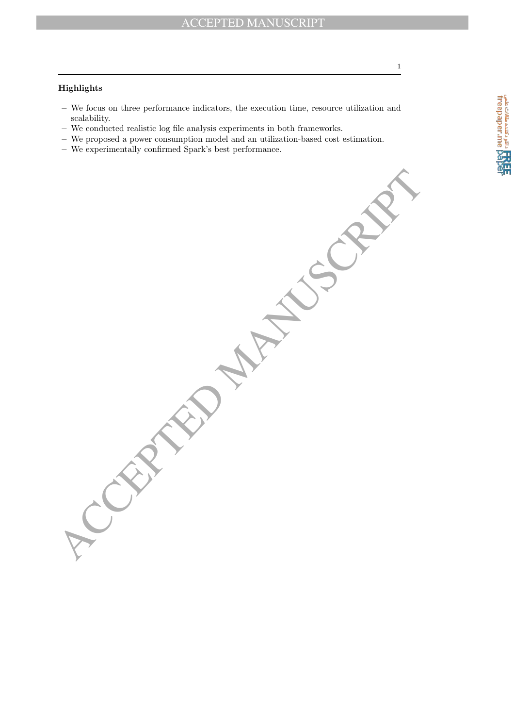# ACCEPTED MANUSCRIPT

# Highlights

– We focus on three performance indicators, the execution time, resource utilization and scalability.

ACCEPTED MANUSCRIPT

- We conducted realistic log file analysis experiments in both frameworks.
- We proposed a power consumption model and an utilization-based cost estimation.
- We experimentally confirmed Spark's best performance.

1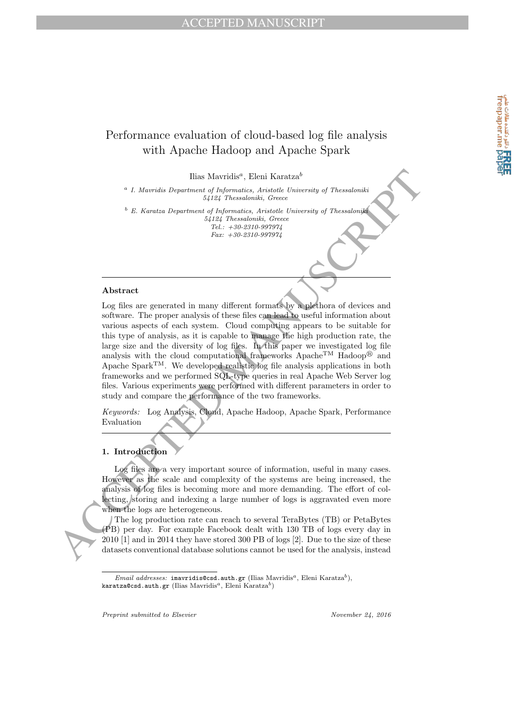# Performance evaluation of cloud-based log file analysis with Apache Hadoop and Apache Spark

Ilias Mavridis<sup>a</sup>, Eleni Karatza<sup>b</sup>

 $a$  I. Mavridis Department of Informatics, Aristotle University of Thessaloniki 54124 Thessaloniki, Greece

 $b$  E. Karatza Department of Informatics, Aristotle University of Thessaloniki 54124 Thessaloniki, Greece  $Tel: +30-2310-997974$ 

Fax: +30-2310-997974

#### Abstract

ACCEPTED MANUSCRIPT Log files are generated in many different formats by a plethora of devices and software. The proper analysis of these files can lead to useful information about various aspects of each system. Cloud computing appears to be suitable for this type of analysis, as it is capable to manage the high production rate, the large size and the diversity of log files. In this paper we investigated log file analysis with the cloud computational frameworks Apache<sup>TM</sup> Hadoop® and Apache Spark<sup>TM</sup>. We developed realistic log file analysis applications in both frameworks and we performed SQL-type queries in real Apache Web Server log files. Various experiments were performed with different parameters in order to study and compare the performance of the two frameworks.

Keywords: Log Analysis, Cloud, Apache Hadoop, Apache Spark, Performance Evaluation

# 1. Introduction

Log files are a very important source of information, useful in many cases. However as the scale and complexity of the systems are being increased, the analysis of log files is becoming more and more demanding. The effort of collecting, storing and indexing a large number of logs is aggravated even more when the logs are heterogeneous.

The log production rate can reach to several TeraBytes (TB) or PetaBytes (PB) per day. For example Facebook dealt with 130 TB of logs every day in 2010 [1] and in 2014 they have stored 300 PB of logs [2]. Due to the size of these datasets conventional database solutions cannot be used for the analysis, instead

Preprint submitted to Elsevier November 24, 2016

*Email addresses:* imavridis@csd.auth.gr (Ilias Mavridis<sup>a</sup>, Eleni Karatza<sup>b</sup>), karatza@csd.auth.gr (Ilias Mavridis $^a$ , Eleni Karatza $^b)$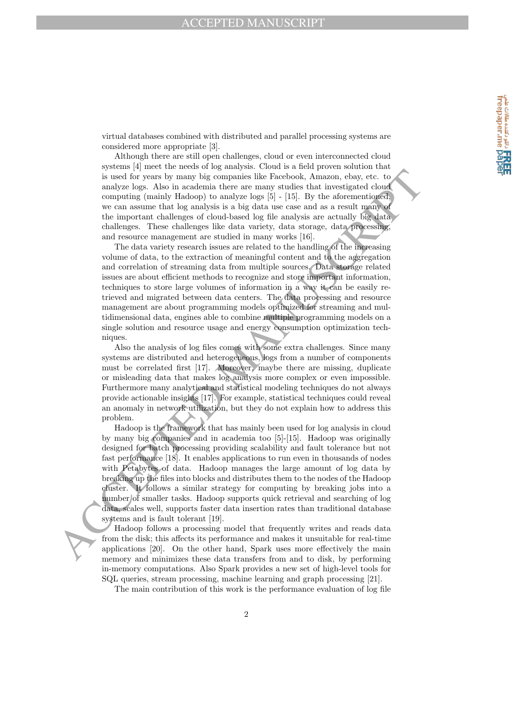virtual databases combined with distributed and parallel processing systems are considered more appropriate [3].

Although there are still open challenges, cloud or even interconnected cloud systems [4] meet the needs of log analysis. Cloud is a field proven solution that is used for years by many big companies like Facebook, Amazon, ebay, etc. to analyze logs. Also in academia there are many studies that investigated cloud computing (mainly Hadoop) to analyze logs [5] - [15]. By the aforementioned, we can assume that log analysis is a big data use case and as a result many of the important challenges of cloud-based log file analysis are actually big data challenges. These challenges like data variety, data storage, data processing, and resource management are studied in many works [16].

is used for yearns by many big companies like Becchesi, Annazon, claus at the constrained analytic logical computing (mainly Hadoo) is only at the correlation of the minimum (mainly Hadoo) is only at the important challen The data variety research issues are related to the handling of the increasing volume of data, to the extraction of meaningful content and to the aggregation and correlation of streaming data from multiple sources. Data storage related issues are about efficient methods to recognize and store important information, techniques to store large volumes of information in a way it can be easily retrieved and migrated between data centers. The data processing and resource management are about programming models optimized for streaming and multidimensional data, engines able to combine multiple programming models on a single solution and resource usage and energy consumption optimization techniques.

Also the analysis of log files comes with some extra challenges. Since many systems are distributed and heterogeneous, logs from a number of components must be correlated first [17]. Moreover, maybe there are missing, duplicate or misleading data that makes log analysis more complex or even impossible. Furthermore many analytical and statistical modeling techniques do not always provide actionable insights [17]. For example, statistical techniques could reveal an anomaly in network utilization, but they do not explain how to address this problem.

Hadoop is the framework that has mainly been used for log analysis in cloud by many big companies and in academia too [5]-[15]. Hadoop was originally designed for batch processing providing scalability and fault tolerance but not fast performance [18]. It enables applications to run even in thousands of nodes with Petabytes of data. Hadoop manages the large amount of log data by breaking up the files into blocks and distributes them to the nodes of the Hadoop cluster. It follows a similar strategy for computing by breaking jobs into a number of smaller tasks. Hadoop supports quick retrieval and searching of log data, scales well, supports faster data insertion rates than traditional database systems and is fault tolerant [19].

Hadoop follows a processing model that frequently writes and reads data from the disk; this affects its performance and makes it unsuitable for real-time applications [20]. On the other hand, Spark uses more effectively the main memory and minimizes these data transfers from and to disk, by performing in-memory computations. Also Spark provides a new set of high-level tools for SQL queries, stream processing, machine learning and graph processing [21].

The main contribution of this work is the performance evaluation of log file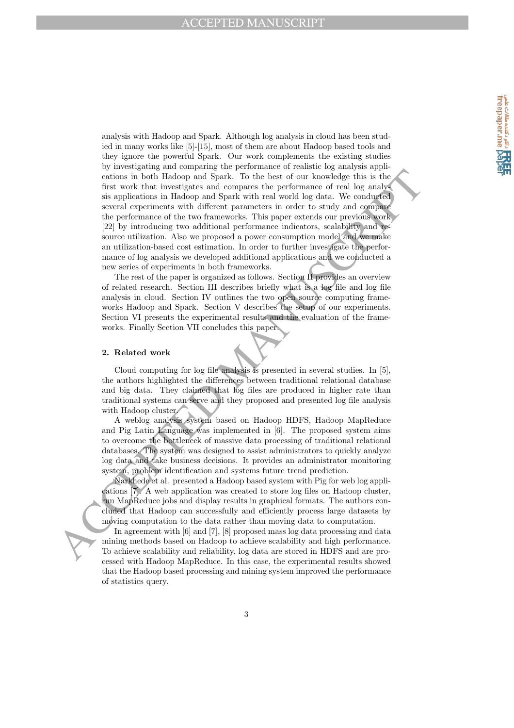critics in both Hadoop and Spack. To the best of our knowledge this is the set of the set of the set of the set of the set of the set of the set of the set of the set of the set of the set of the set of the set of the set analysis with Hadoop and Spark. Although log analysis in cloud has been studied in many works like [5]-[15], most of them are about Hadoop based tools and they ignore the powerful Spark. Our work complements the existing studies by investigating and comparing the performance of realistic log analysis applications in both Hadoop and Spark. To the best of our knowledge this is the first work that investigates and compares the performance of real log analysis applications in Hadoop and Spark with real world log data. We conducted several experiments with different parameters in order to study and compare the performance of the two frameworks. This paper extends our previous work [22] by introducing two additional performance indicators, scalability and resource utilization. Also we proposed a power consumption model and we make an utilization-based cost estimation. In order to further investigate the performance of log analysis we developed additional applications and we conducted a new series of experiments in both frameworks.

The rest of the paper is organized as follows. Section II provides an overview of related research. Section III describes briefly what is a log file and log file analysis in cloud. Section IV outlines the two open source computing frameworks Hadoop and Spark. Section V describes the setup of our experiments. Section VI presents the experimental results and the evaluation of the frameworks. Finally Section VII concludes this paper.

#### 2. Related work

Cloud computing for log file analysis is presented in several studies. In [5], the authors highlighted the differences between traditional relational database and big data. They claimed that log files are produced in higher rate than traditional systems can serve and they proposed and presented log file analysis with Hadoop cluster.

A weblog analysis system based on Hadoop HDFS, Hadoop MapReduce and Pig Latin Language was implemented in [6]. The proposed system aims to overcome the bottleneck of massive data processing of traditional relational databases. The system was designed to assist administrators to quickly analyze log data and take business decisions. It provides an administrator monitoring system, problem identification and systems future trend prediction.

Narkhede et al. presented a Hadoop based system with Pig for web log applications [7]. A web application was created to store log files on Hadoop cluster, run MapReduce jobs and display results in graphical formats. The authors concluded that Hadoop can successfully and efficiently process large datasets by moving computation to the data rather than moving data to computation.

In agreement with [6] and [7], [8] proposed mass log data processing and data mining methods based on Hadoop to achieve scalability and high performance. To achieve scalability and reliability, log data are stored in HDFS and are processed with Hadoop MapReduce. In this case, the experimental results showed that the Hadoop based processing and mining system improved the performance of statistics query.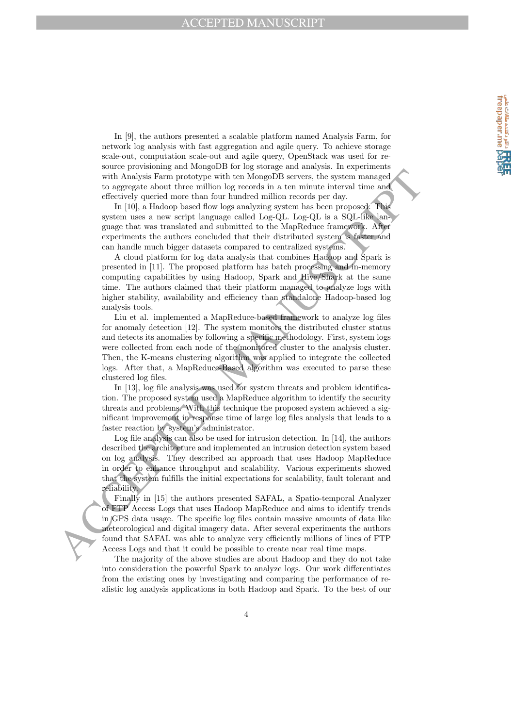In [9], the authors presented a scalable platform named Analysis Farm, for network log analysis with fast aggregation and agile query. To achieve storage scale-out, computation scale-out and agile query, OpenStack was used for resource provisioning and MongoDB for log storage and analysis. In experiments with Analysis Farm prototype with ten MongoDB servers, the system managed to aggregate about three million log records in a ten minute interval time and effectively queried more than four hundred million records per day.

In [10], a Hadoop based flow logs analyzing system has been proposed. This system uses a new script language called Log-QL. Log-QL is a SQL-like language that was translated and submitted to the MapReduce framework. After experiments the authors concluded that their distributed system is faster and can handle much bigger datasets compared to centralized systems.

A cloud platform for log data analysis that combines Hadoop and Spark is presented in [11]. The proposed platform has batch processing and in-memory computing capabilities by using Hadoop, Spark and Hive/Shark at the same time. The authors claimed that their platform managed to analyze logs with higher stability, availability and efficiency than standalone Hadoop-based log analysis tools.

with Analysis Darm protosype with the Bongolff servers, hie system managed to agregate about three million by records in a ten minute interval time and diffusion question in the proposed for box analyzing system has been Liu et al. implemented a MapReduce-based framework to analyze log files for anomaly detection [12]. The system monitors the distributed cluster status and detects its anomalies by following a specific methodology. First, system logs were collected from each node of the monitored cluster to the analysis cluster. Then, the K-means clustering algorithm was applied to integrate the collected logs. After that, a MapReduce-Based algorithm was executed to parse these clustered log files.

In [13], log file analysis was used for system threats and problem identification. The proposed system used a MapReduce algorithm to identify the security threats and problems. With this technique the proposed system achieved a significant improvement in response time of large log files analysis that leads to a faster reaction by system's administrator.

Log file analysis can also be used for intrusion detection. In [14], the authors described the architecture and implemented an intrusion detection system based on log analysis. They described an approach that uses Hadoop MapReduce in order to enhance throughput and scalability. Various experiments showed that the system fulfills the initial expectations for scalability, fault tolerant and reliability.

Finally in [15] the authors presented SAFAL, a Spatio-temporal Analyzer of FTP Access Logs that uses Hadoop MapReduce and aims to identify trends in GPS data usage. The specific log files contain massive amounts of data like meteorological and digital imagery data. After several experiments the authors found that SAFAL was able to analyze very efficiently millions of lines of FTP Access Logs and that it could be possible to create near real time maps.

The majority of the above studies are about Hadoop and they do not take into consideration the powerful Spark to analyze logs. Our work differentiates from the existing ones by investigating and comparing the performance of realistic log analysis applications in both Hadoop and Spark. To the best of our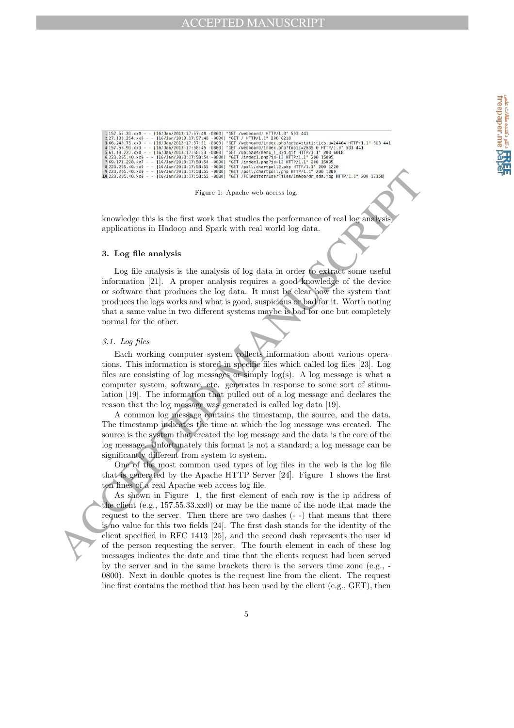| 1 157.55.33.xx0 - - [16/Jan/2013:17:57:48 -0800] "GET /webboard/ HTTP/1.0" 503 441                                 |
|--------------------------------------------------------------------------------------------------------------------|
| 227.130.254.xx9 - - [16/Jan/2013:17:57:48 -0800] "GET / HTTP/1.1" 200 6210                                         |
| 366.249.75.xx3 - - [16/Jan/2013:17:57:51 -0800] "GET /webboard/index.php?area=statistics:u=24404 HTTP/1.1" 503 441 |
| 4 157.56.93.xx3 - - [16/Jan/2013:17:58:45 -0800] "GET /webboard/index.php?topic=2635.0 HTTP/1.0" 503 441           |
| 561.19.227.xx0 - - [16/Jan/2013:17:58:53 -0800] "GET /uploads/menu 1 324.gif HTTP/1.1" 200 6018                    |
| 6 223.205.40.xx9 - - [16/Jan/2013:17:58:54 -0800] "GET /index1.php?id=13 HTTP/1.1" 200 15095                       |
| 769.171.228.xx7 - - [16/Jan/2013:17:58:54 -0800] "GET /index1.php?id=13 HTTP/1.1" 200 15095                        |
| 8 223.205.40.xx9 - - [16/Jan/2013:17:58:55 -0800] "GET /poll/chartpoll2.php HTTP/1.1" 200 1220                     |
| 9 223.205.40.xx9 - - [16/Jan/2013:17:58:55 -0800] "GET /poll/chartpoll.php HTTP/1.1" 200 1209                      |
| 10 223.205.40.xx9 - - [16/Jan/2013:17:58:55 -0800] "GET /FCKeditor/UserFiles/Image/dr sda.jpg HTTP/1.1" 200 17158  |
|                                                                                                                    |

|  |  | Figure 1: Apache web access log. |  |  |  |
|--|--|----------------------------------|--|--|--|
|--|--|----------------------------------|--|--|--|

knowledge this is the first work that studies the performance of real log analysis applications in Hadoop and Spark with real world log data.

#### 3. Log file analysis

Log file analysis is the analysis of log data in order to extract some useful information [21]. A proper analysis requires a good knowledge of the device or software that produces the log data. It must be clear how the system that produces the logs works and what is good, suspicious or bad for it. Worth noting that a same value in two different systems maybe is bad for one but completely normal for the other.

#### 3.1. Log files

Each working computer system collects information about various operations. This information is stored in specific files which called log files [23]. Log files are consisting of log messages or simply log(s). A log message is what a computer system, software, etc. generates in response to some sort of stimulation [19]. The information that pulled out of a log message and declares the reason that the log message was generated is called log data [19].

A common log message contains the timestamp, the source, and the data. The timestamp indicates the time at which the log message was created. The source is the system that created the log message and the data is the core of the log message. Unfortunately this format is not a standard; a log message can be significantly different from system to system.

One of the most common used types of log files in the web is the log file that is generated by the Apache HTTP Server [24]. Figure 1 shows the first ten lines of a real Apache web access log file.

Figure 2.1. Interaction is a set of dimensional of the system of the system of the system of the system of the system of the system of the system of the system of the system of the system of the system of the system of th As shown in Figure 1, the first element of each row is the ip address of the client (e.g., 157.55.33.xx0) or may be the name of the node that made the request to the server. Then there are two dashes (- -) that means that there is no value for this two fields [24]. The first dash stands for the identity of the client specified in RFC 1413 [25], and the second dash represents the user id of the person requesting the server. The fourth element in each of these log messages indicates the date and time that the clients request had been served by the server and in the same brackets there is the servers time zone (e.g., - 0800). Next in double quotes is the request line from the client. The request line first contains the method that has been used by the client (e.g., GET), then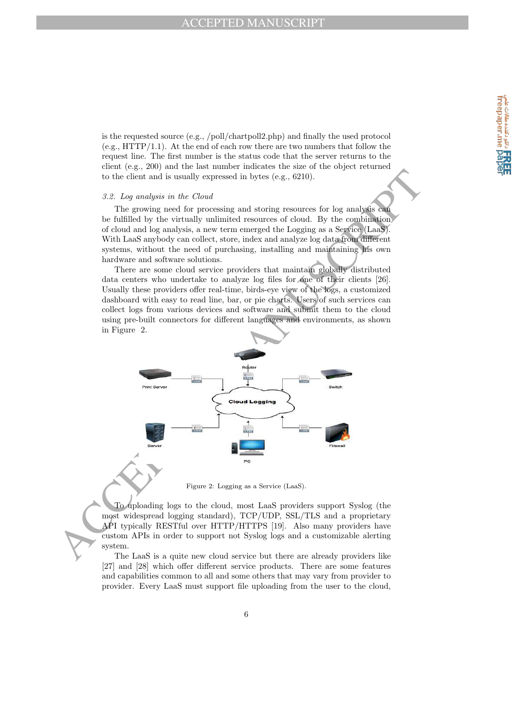is the requested source (e.g., /poll/chartpoll2.php) and finally the used protocol (e.g., HTTP/1.1). At the end of each row there are two numbers that follow the request line. The first number is the status code that the server returns to the client (e.g., 200) and the last number indicates the size of the object returned to the client and is usually expressed in bytes (e.g., 6210).

### 3.2. Log analysis in the Cloud

The growing need for processing and storing resources for log analysis can be fulfilled by the virtually unlimited resources of cloud. By the combination of cloud and log analysis, a new term emerged the Logging as a Service (LaaS). With LaaS anybody can collect, store, index and analyze log data from different systems, without the need of purchasing, installing and maintaining his own hardware and software solutions.

There are some cloud service providers that maintain globally distributed data centers who undertake to analyze log files for one of their clients [26]. Usually these providers offer real-time, birds-eye view of the logs, a customized dashboard with easy to read line, bar, or pie charts. Users of such services can collect logs from various devices and software and submit them to the cloud using pre-built connectors for different languages and environments, as shown in Figure 2.



Figure 2: Logging as a Service (LaaS).

To uploading logs to the cloud, most LaaS providers support Syslog (the most widespread logging standard), TCP/UDP, SSL/TLS and a proprietary API typically RESTful over HTTP/HTTPS [19]. Also many providers have custom APIs in order to support not Syslog logs and a customizable alerting system.

The LaaS is a quite new cloud service but there are already providers like [27] and [28] which offer different service products. There are some features and capabilities common to all and some others that may vary from provider to provider. Every LaaS must support file uploading from the user to the cloud,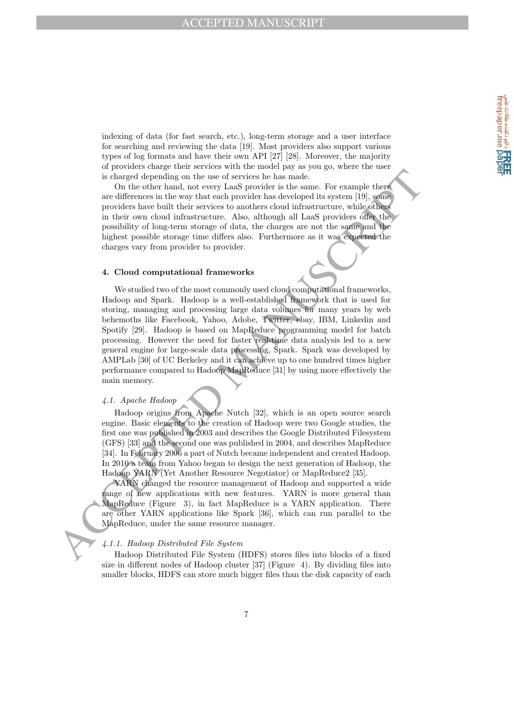indexing of data (for fast search, etc.), long-term storage and a user interface for searching and reviewing the data [19]. Most providers also support various types of log formats and have their own API [27] [28]. Moreover, the majority of providers charge their services with the model pay as you go, where the user is charged depending on the use of services he has made.

On the other hand, not every LaaS provider is the same. For example there are differences in the way that each provider has developed its system [19], some providers have built their services to anothers cloud infrastructure, while others in their own cloud infrastructure. Also, although all LaaS providers offer the possibility of long-term storage of data, the charges are not the same and the highest possible storage time differs also. Furthermore as it was expected the charges vary from provider to provider.

### 4. Cloud computational frameworks

is charged depending on the use of services he has made. For example then any of the diversion in the way that cosin provider has developed in system [16], such that the cosine in the cosine providers have hind their serv We studied two of the most commonly used cloud computational frameworks, Hadoop and Spark. Hadoop is a well-established framework that is used for storing, managing and processing large data volumes for many years by web behemoths like Facebook, Yahoo, Adobe, Twitter, ebay, IBM, Linkedin and Spotify [29]. Hadoop is based on MapReduce programming model for batch processing. However the need for faster real-time data analysis led to a new general engine for large-scale data processing, Spark. Spark was developed by AMPLab [30] of UC Berkeley and it can achieve up to one hundred times higher performance compared to Hadoop MapReduce [31] by using more effectively the main memory.

## 4.1. Apache Hadoop

Hadoop origins from Apache Nutch [32], which is an open source search engine. Basic elements to the creation of Hadoop were two Google studies, the first one was published in 2003 and describes the Google Distributed Filesystem (GFS) [33] and the second one was published in 2004, and describes MapReduce [34]. In February 2006 a part of Nutch became independent and created Hadoop. In 2010 a team from Yahoo began to design the next generation of Hadoop, the Hadoop YARN (Yet Another Resource Negotiator) or MapReduce2 [35].

YARN changed the resource management of Hadoop and supported a wide range of new applications with new features. YARN is more general than MapReduce (Figure 3), in fact MapReduce is a YARN application. There are other YARN applications like Spark [36], which can run parallel to the MapReduce, under the same resource manager.

## 4.1.1. Hadoop Distributed File System

Hadoop Distributed File System (HDFS) stores files into blocks of a fixed size in different nodes of Hadoop cluster [37] (Figure 4). By dividing files into smaller blocks, HDFS can store much bigger files than the disk capacity of each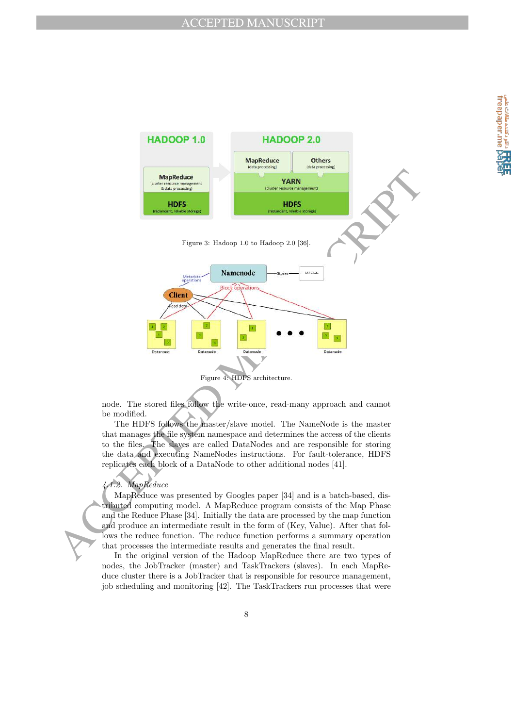

node. The stored files follow the write-once, read-many approach and cannot be modified.

The HDFS follows the master/slave model. The NameNode is the master that manages the file system namespace and determines the access of the clients to the files. The slaves are called DataNodes and are responsible for storing the data and executing NameNodes instructions. For fault-tolerance, HDFS replicates each block of a DataNode to other additional nodes [41].

# 4.1.2. MapReduce

MapReduce was presented by Googles paper [34] and is a batch-based, distributed computing model. A MapReduce program consists of the Map Phase and the Reduce Phase [34]. Initially the data are processed by the map function and produce an intermediate result in the form of (Key, Value). After that follows the reduce function. The reduce function performs a summary operation that processes the intermediate results and generates the final result.

In the original version of the Hadoop MapReduce there are two types of nodes, the JobTracker (master) and TaskTrackers (slaves). In each MapReduce cluster there is a JobTracker that is responsible for resource management, job scheduling and monitoring [42]. The TaskTrackers run processes that were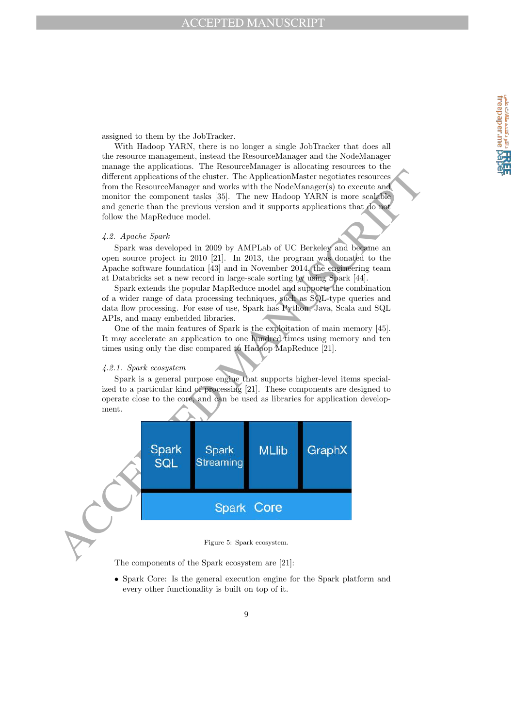assigned to them by the JobTracker.

With Hadoop YARN, there is no longer a single JobTracker that does all the resource management, instead the ResourceManager and the NodeManager manage the applications. The ResourceManager is allocating resources to the different applications of the cluster. The ApplicationMaster negotiates resources from the ResourceManager and works with the NodeManager(s) to execute and monitor the component tasks [35]. The new Hadoop YARN is more scalable and generic than the previous version and it supports applications that do not follow the MapReduce model.

#### 4.2. Apache Spark

Spark was developed in 2009 by AMPLab of UC Berkeley and became an open source project in 2010 [21]. In 2013, the program was donated to the Apache software foundation [43] and in November 2014, the engineering team at Databricks set a new record in large-scale sorting by using Spark [44].

Spark extends the popular MapReduce model and supports the combination of a wider range of data processing techniques, such as SQL-type queries and data flow processing. For ease of use, Spark has Python, Java, Scala and SQL APIs, and many embedded libraries.

One of the main features of Spark is the exploitation of main memory [45]. It may accelerate an application to one hundred times using memory and ten times using only the disc compared to Hadoop MapReduce [21].

#### 4.2.1. Spark ecosystem

Spark is a general purpose engine that supports higher-level items specialized to a particular kind of processing [21]. These components are designed to operate close to the core, and can be used as libraries for application development.





The components of the Spark ecosystem are [21]:

• Spark Core: Is the general execution engine for the Spark platform and every other functionality is built on top of it.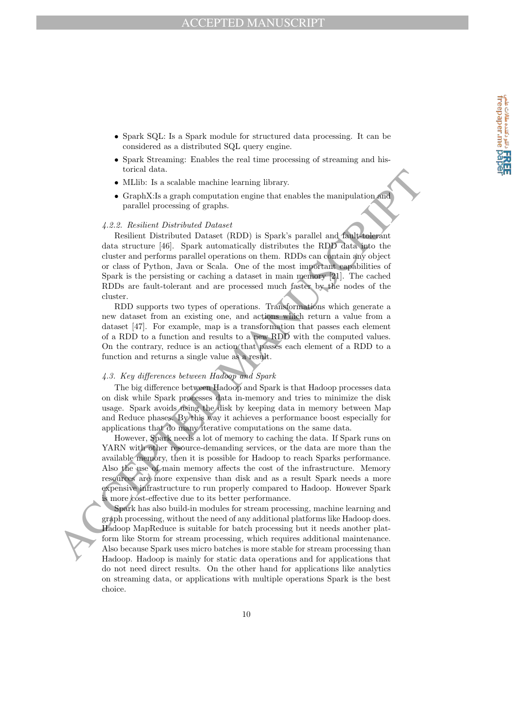- Spark SQL: Is a Spark module for structured data processing. It can be considered as a distributed SQL query engine.
- Spark Streaming: Enables the real time processing of streaming and historical data.
- MLlib: Is a scalable machine learning library.
- GraphX:Is a graph computation engine that enables the manipulation and parallel processing of graphs.

#### 4.2.2. Resilient Distributed Dataset

Resilient Distributed Dataset (RDD) is Spark's parallel and fault-tolerant data structure [46]. Spark automatically distributes the RDD data into the cluster and performs parallel operations on them. RDDs can contain any object or class of Python, Java or Scala. One of the most important capabilities of Spark is the persisting or caching a dataset in main memory [21]. The cached RDDs are fault-tolerant and are processed much faster by the nodes of the cluster.

RDD supports two types of operations. Transformations which generate a new dataset from an existing one, and actions which return a value from a dataset [47]. For example, map is a transformation that passes each element of a RDD to a function and results to a new RDD with the computed values. On the contrary, reduce is an action that passes each element of a RDD to a function and returns a single value as a result.

# 4.3. Key differences between Hadoop and Spark

The big difference between Hadoop and Spark is that Hadoop processes data on disk while Spark processes data in-memory and tries to minimize the disk usage. Spark avoids using the disk by keeping data in memory between Map and Reduce phases. By this way it achieves a performance boost especially for applications that do many iterative computations on the same data.

Interaction as a stable machine learning library.<br>
• Mildib: Is a scalable machine learning library.<br>
• GraphX18 a graph computation engine that enables the manipulation and particle processing of graphs.<br>  $\ell$ .2.2. Resid However, Spark needs a lot of memory to caching the data. If Spark runs on YARN with other resource-demanding services, or the data are more than the available memory, then it is possible for Hadoop to reach Sparks performance. Also the use of main memory affects the cost of the infrastructure. Memory resources are more expensive than disk and as a result Spark needs a more expensive infrastructure to run properly compared to Hadoop. However Spark is more cost-effective due to its better performance.

Spark has also build-in modules for stream processing, machine learning and graph processing, without the need of any additional platforms like Hadoop does. Hadoop MapReduce is suitable for batch processing but it needs another platform like Storm for stream processing, which requires additional maintenance. Also because Spark uses micro batches is more stable for stream processing than Hadoop. Hadoop is mainly for static data operations and for applications that do not need direct results. On the other hand for applications like analytics on streaming data, or applications with multiple operations Spark is the best choice.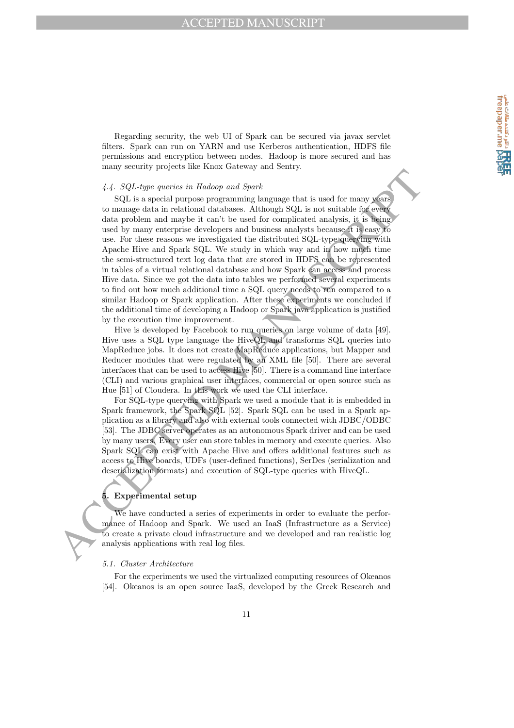Regarding security, the web UI of Spark can be secured via javax servlet filters. Spark can run on YARN and use Kerberos authentication, HDFS file permissions and encryption between nodes. Hadoop is more secured and has many security projects like Knox Gateway and Sentry.

## 4.4. SQL-type queries in Hadoop and Spark

4.4. SQL-type queries in Hadoop and Speck spectral into the spectral partner of the spectral partner of the spectral into the spectral constrained data problem and introduce and the constrained by exactly described by a m SQL is a special purpose programming language that is used for many years to manage data in relational databases. Although SQL is not suitable for every data problem and maybe it can't be used for complicated analysis, it is being used by many enterprise developers and business analysts because it is easy to use. For these reasons we investigated the distributed SQL-type querying with Apache Hive and Spark SQL. We study in which way and in how much time the semi-structured text log data that are stored in HDFS can be represented in tables of a virtual relational database and how Spark can access and process Hive data. Since we got the data into tables we performed several experiments to find out how much additional time a SQL query needs to run compared to a similar Hadoop or Spark application. After these experiments we concluded if the additional time of developing a Hadoop or Spark java application is justified by the execution time improvement.

Hive is developed by Facebook to run queries on large volume of data [49]. Hive uses a SQL type language the HiveQL and transforms SQL queries into MapReduce jobs. It does not create MapReduce applications, but Mapper and Reducer modules that were regulated by an XML file [50]. There are several interfaces that can be used to access Hive [50]. There is a command line interface (CLI) and various graphical user interfaces, commercial or open source such as Hue [51] of Cloudera. In this work we used the CLI interface.

For SQL-type querying with Spark we used a module that it is embedded in Spark framework, the Spark SQL [52]. Spark SQL can be used in a Spark application as a library and also with external tools connected with JDBC/ODBC [53]. The JDBC server operates as an autonomous Spark driver and can be used by many users. Every user can store tables in memory and execute queries. Also Spark SQL can exist with Apache Hive and offers additional features such as access to Hive boards, UDFs (user-defined functions), SerDes (serialization and deserialization formats) and execution of SQL-type queries with HiveQL.

## 5. Experimental setup

We have conducted a series of experiments in order to evaluate the performance of Hadoop and Spark. We used an IaaS (Infrastructure as a Service) to create a private cloud infrastructure and we developed and ran realistic log analysis applications with real log files.

#### 5.1. Cluster Architecture

For the experiments we used the virtualized computing resources of Okeanos [54]. Okeanos is an open source IaaS, developed by the Greek Research and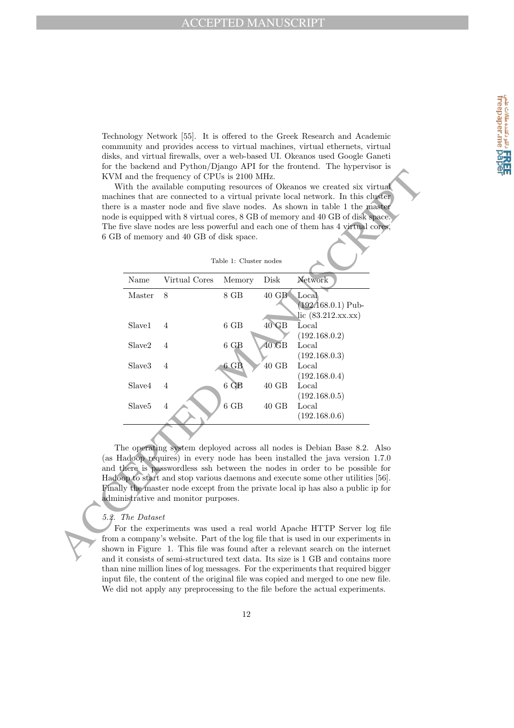Technology Network [55]. It is offered to the Greek Research and Academic community and provides access to virtual machines, virtual ethernets, virtual disks, and virtual firewalls, over a web-based UI. Okeanos used Google Ganeti for the backend and Python/Django API for the frontend. The hypervisor is KVM and the frequency of CPUs is 2100 MHz.

| Name   |                              |                     |                                                                                                                 |                                                                                                                                                                                                                                                                                         |
|--------|------------------------------|---------------------|-----------------------------------------------------------------------------------------------------------------|-----------------------------------------------------------------------------------------------------------------------------------------------------------------------------------------------------------------------------------------------------------------------------------------|
|        | Virtual Cores                | Memory              | Disk                                                                                                            | Network                                                                                                                                                                                                                                                                                 |
| Master | 8                            | 8 GB                | 40 GB                                                                                                           | Local<br>$(192.168.0.1)$ Pub-<br>lic $(83.212.x x.x x)$                                                                                                                                                                                                                                 |
| Slave1 | 4                            | $6$ $GB$            | $40\text{ }\mathrm{GB}$                                                                                         | Local<br>(192.168.0.2)                                                                                                                                                                                                                                                                  |
| Slave2 | 4                            | $6$ GB              | $40$ GB                                                                                                         | Local<br>(192.168.0.3)                                                                                                                                                                                                                                                                  |
|        | 4                            |                     |                                                                                                                 | Local<br>(192.168.0.4)                                                                                                                                                                                                                                                                  |
| Slave4 |                              |                     |                                                                                                                 | Local<br>(192.168.0.5)                                                                                                                                                                                                                                                                  |
|        |                              |                     |                                                                                                                 | Local<br>(192.168.0.6)                                                                                                                                                                                                                                                                  |
|        |                              |                     |                                                                                                                 |                                                                                                                                                                                                                                                                                         |
|        |                              |                     |                                                                                                                 |                                                                                                                                                                                                                                                                                         |
|        | Slave3<br>Slave <sub>5</sub> | 4<br>$\overline{4}$ | $6$ GB<br>$6$ $GB$<br>$6$ GB<br>Hadoop to start and stop various daemons and execute some other utilities [56]. | $40\text{ }\mathrm{GB}$<br>$40$ GB<br>$40$ GB<br>The operating system deployed across all nodes is Debian Base 8.2. Also<br>(as Hadoop requires) in every node has been installed the java version 1.7.0<br>and there is passwordless ssh between the nodes in order to be possible for |

## 5.2. The Dataset

For the experiments was used a real world Apache HTTP Server log file from a company's website. Part of the log file that is used in our experiments in shown in Figure 1. This file was found after a relevant search on the internet and it consists of semi-structured text data. Its size is 1 GB and contains more than nine million lines of log messages. For the experiments that required bigger input file, the content of the original file was copied and merged to one new file. We did not apply any preprocessing to the file before the actual experiments.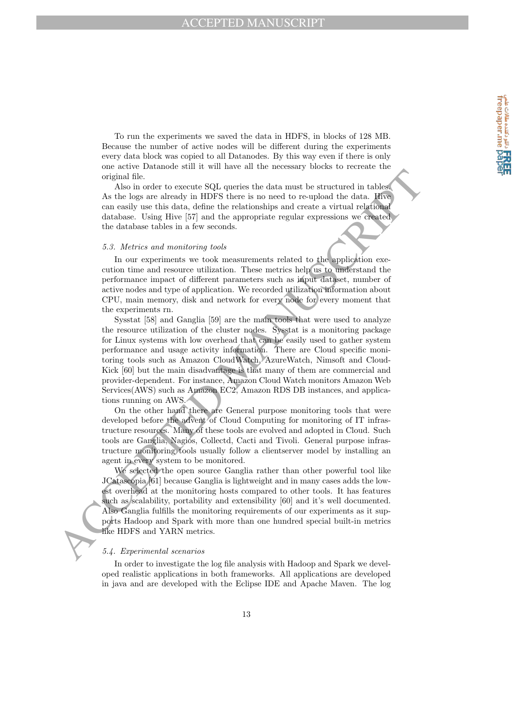To run the experiments we saved the data in HDFS, in blocks of 128 MB. Because the number of active nodes will be different during the experiments every data block was copied to all Datanodes. By this way even if there is only one active Datanode still it will have all the necessary blocks to recreate the original file.

Also in order to execute SQL queries the data must be structured in tables. As the logs are already in HDFS there is no need to re-upload the data. Hive can easily use this data, define the relationships and create a virtual relational database. Using Hive [57] and the appropriate regular expressions we created the database tables in a few seconds.

#### 5.3. Metrics and monitoring tools

In our experiments we took measurements related to the application execution time and resource utilization. These metrics help us to understand the performance impact of different parameters such as input dataset, number of active nodes and type of application. We recorded utilization information about CPU, main memory, disk and network for every node for every moment that the experiments rn.

original file. The research is chosen to research SQL queries the data must be structured in tables. As the logs are already in HDFS later. Before is an eachly use this data, define the matriculation of re-upload dia data Sysstat [58] and Ganglia [59] are the main tools that were used to analyze the resource utilization of the cluster nodes. Sysstat is a monitoring package for Linux systems with low overhead that can be easily used to gather system performance and usage activity information. There are Cloud specific monitoring tools such as Amazon CloudWatch, AzureWatch, Nimsoft and Cloud-Kick [60] but the main disadvantage is that many of them are commercial and provider-dependent. For instance, Amazon Cloud Watch monitors Amazon Web Services(AWS) such as Amazon EC2, Amazon RDS DB instances, and applications running on AWS.

On the other hand there are General purpose monitoring tools that were developed before the advent of Cloud Computing for monitoring of IT infrastructure resources. Many of these tools are evolved and adopted in Cloud. Such tools are Ganglia, Nagios, Collectd, Cacti and Tivoli. General purpose infrastructure monitoring tools usually follow a clientserver model by installing an agent in every system to be monitored.

We selected the open source Ganglia rather than other powerful tool like JCatascopia [61] because Ganglia is lightweight and in many cases adds the lowest overhead at the monitoring hosts compared to other tools. It has features such as scalability, portability and extensibility [60] and it's well documented. Also Ganglia fulfills the monitoring requirements of our experiments as it supports Hadoop and Spark with more than one hundred special built-in metrics like HDFS and YARN metrics.

### 5.4. Experimental scenarios

In order to investigate the log file analysis with Hadoop and Spark we developed realistic applications in both frameworks. All applications are developed in java and are developed with the Eclipse IDE and Apache Maven. The log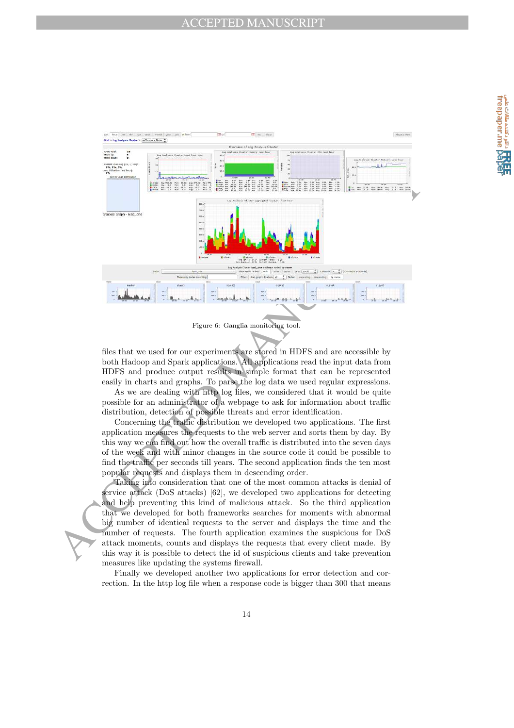

Figure 6: Ganglia monitoring tool.

files that we used for our experiments are stored in HDFS and are accessible by both Hadoop and Spark applications. All applications read the input data from HDFS and produce output results in simple format that can be represented easily in charts and graphs. To parse the log data we used regular expressions.

As we are dealing with http log files, we considered that it would be quite possible for an administrator of a webpage to ask for information about traffic distribution, detection of possible threats and error identification.

Concerning the traffic distribution we developed two applications. The first application measures the requests to the web server and sorts them by day. By this way we can find out how the overall traffic is distributed into the seven days of the week and with minor changes in the source code it could be possible to find the traffic per seconds till years. The second application finds the ten most popular requests and displays them in descending order.

Taking into consideration that one of the most common attacks is denial of service attack (DoS attacks) [62], we developed two applications for detecting and help preventing this kind of malicious attack. So the third application that we developed for both frameworks searches for moments with abnormal big number of identical requests to the server and displays the time and the number of requests. The fourth application examines the suspicious for DoS attack moments, counts and displays the requests that every client made. By this way it is possible to detect the id of suspicious clients and take prevention measures like updating the systems firewall.

Finally we developed another two applications for error detection and correction. In the http log file when a response code is bigger than 300 that means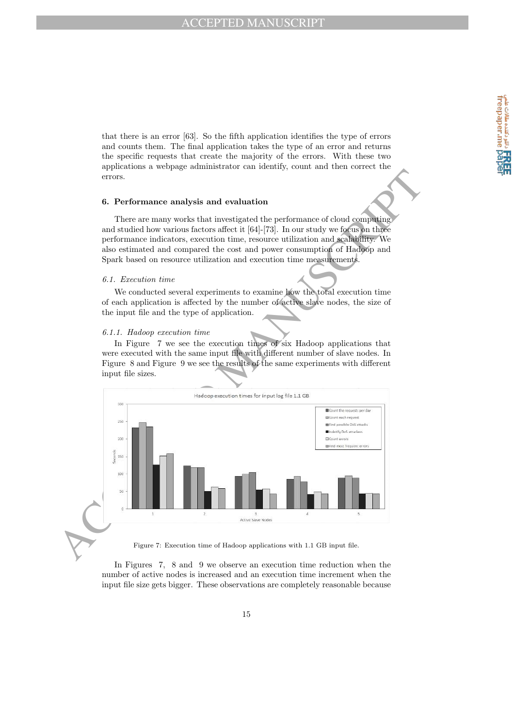that there is an error [63]. So the fifth application identifies the type of errors and counts them. The final application takes the type of an error and returns the specific requests that create the majority of the errors. With these two applications a webpage administrator can identify, count and then correct the errors.

#### 6. Performance analysis and evaluation

There are many works that investigated the performance of cloud computing and studied how various factors affect it [64]-[73]. In our study we focus on three performance indicators, execution time, resource utilization and scalability. We also estimated and compared the cost and power consumption of Hadoop and Spark based on resource utilization and execution time measurements.

### 6.1. Execution time

We conducted several experiments to examine how the total execution time of each application is affected by the number of active slave nodes, the size of the input file and the type of application.

#### 6.1.1. Hadoop execution time

In Figure 7 we see the execution times of six Hadoop applications that were executed with the same input file with different number of slave nodes. In Figure 8 and Figure 9 we see the results of the same experiments with different input file sizes.



Figure 7: Execution time of Hadoop applications with 1.1 GB input file.

In Figures 7, 8 and 9 we observe an execution time reduction when the number of active nodes is increased and an execution time increment when the input file size gets bigger. These observations are completely reasonable because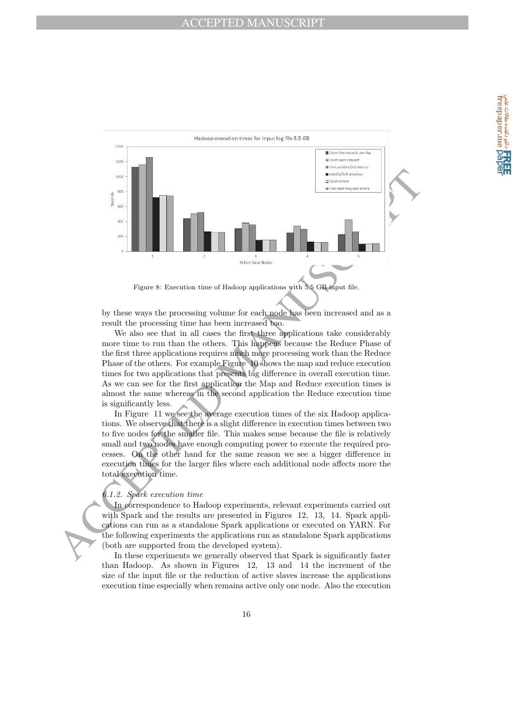

by these ways the processing volume for each node has been increased and as a result the processing time has been increased too.

We also see that in all cases the first three applications take considerably more time to run than the others. This happens because the Reduce Phase of the first three applications requires much more processing work than the Reduce Phase of the others. For example Figure 10 shows the map and reduce execution times for two applications that presents big difference in overall execution time. As we can see for the first application the Map and Reduce execution times is almost the same whereas in the second application the Reduce execution time is significantly less.

In Figure 11 we see the average execution times of the six Hadoop applications. We observe that there is a slight difference in execution times between two to five nodes for the smaller file. This makes sense because the file is relatively small and two nodes have enough computing power to execute the required processes. On the other hand for the same reason we see a bigger difference in execution times for the larger files where each additional node affects more the total execution time.

## 6.1.2. Spark execution time

In correspondence to Hadoop experiments, relevant experiments carried out with Spark and the results are presented in Figures 12, 13, 14. Spark applications can run as a standalone Spark applications or executed on YARN. For the following experiments the applications run as standalone Spark applications (both are supported from the developed system).

In these experiments we generally observed that Spark is significantly faster than Hadoop. As shown in Figures 12, 13 and 14 the increment of the size of the input file or the reduction of active slaves increase the applications execution time especially when remains active only one node. Also the execution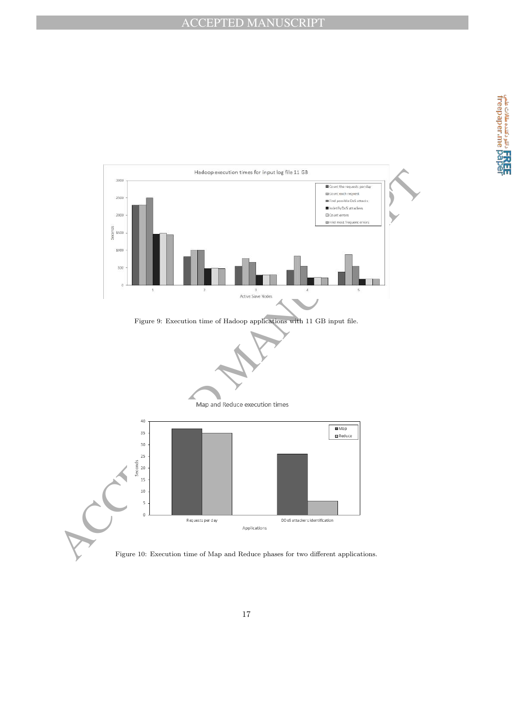# ACCEPTED MANUSCRIPT



Figure 10: Execution time of Map and Reduce phases for two different applications.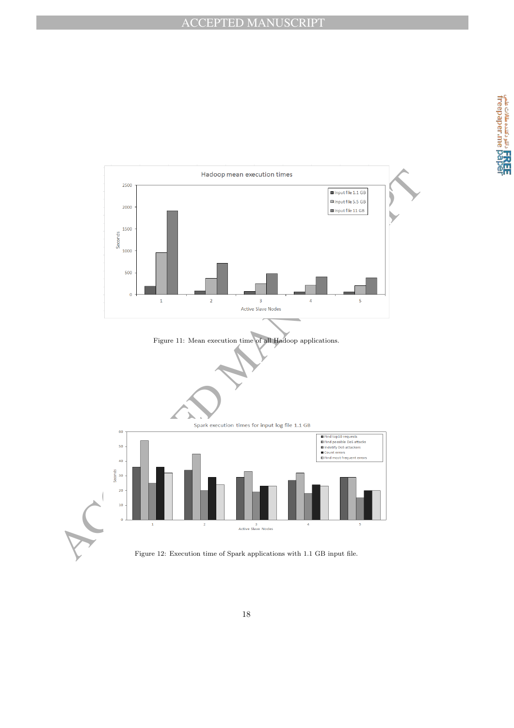# ACCEPTED MANUSCRIPT

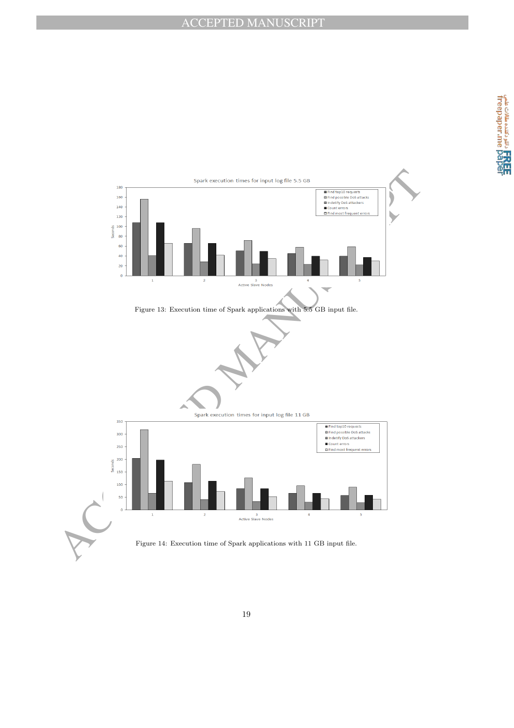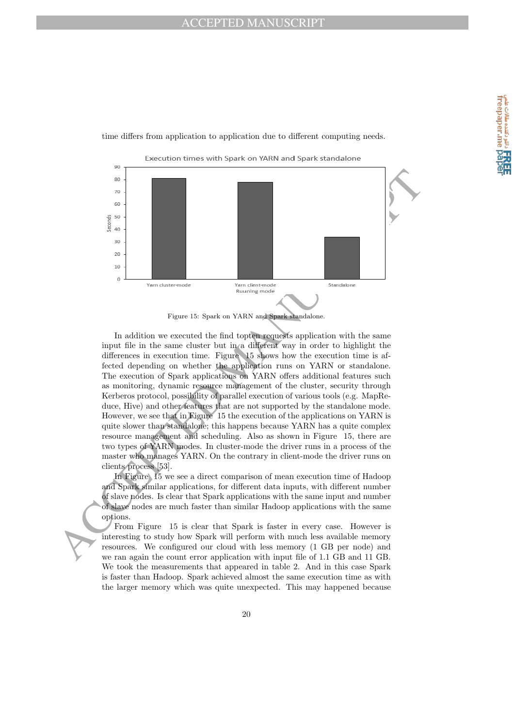

time differs from application to application due to different computing needs.

In addition we executed the find topten requests application with the same input file in the same cluster but in a different way in order to highlight the differences in execution time. Figure 15 shows how the execution time is affected depending on whether the application runs on YARN or standalone. The execution of Spark applications on YARN offers additional features such as monitoring, dynamic resource management of the cluster, security through Kerberos protocol, possibility of parallel execution of various tools (e.g. MapReduce, Hive) and other features that are not supported by the standalone mode. However, we see that in Figure 15 the execution of the applications on YARN is quite slower than standalone; this happens because YARN has a quite complex resource management and scheduling. Also as shown in Figure 15, there are two types of YARN modes. In cluster-mode the driver runs in a process of the master who manages YARN. On the contrary in client-mode the driver runs on clients process [53].

In Figure 15 we see a direct comparison of mean execution time of Hadoop and Spark similar applications, for different data inputs, with different number of slave nodes. Is clear that Spark applications with the same input and number of slave nodes are much faster than similar Hadoop applications with the same options.

From Figure 15 is clear that Spark is faster in every case. However is interesting to study how Spark will perform with much less available memory resources. We configured our cloud with less memory (1 GB per node) and we ran again the count error application with input file of 1.1 GB and 11 GB. We took the measurements that appeared in table 2. And in this case Spark is faster than Hadoop. Spark achieved almost the same execution time as with the larger memory which was quite unexpected. This may happened because

Figure 15: Spark on YARN and Spark standalone.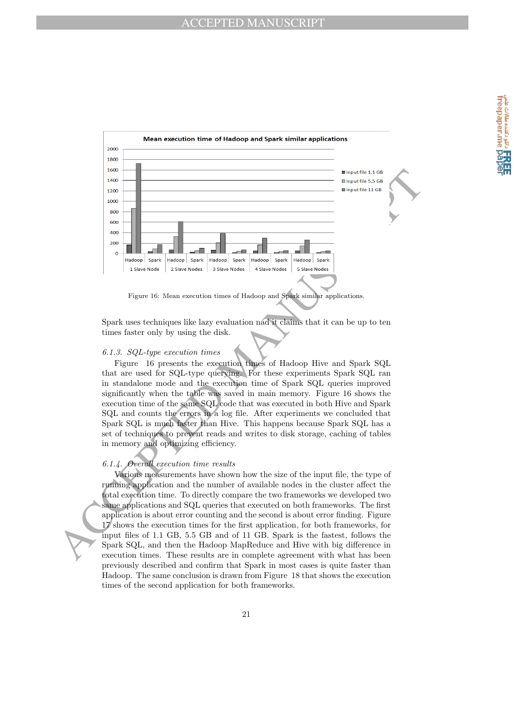

Spark uses techniques like lazy evaluation nad it claims that it can be up to ten times faster only by using the disk.

### 6.1.3. SQL-type execution times

Figure 16 presents the execution times of Hadoop Hive and Spark SQL that are used for SQL-type querying. For these experiments Spark SQL ran in standalone mode and the execution time of Spark SQL queries improved significantly when the table was saved in main memory. Figure 16 shows the execution time of the same SQL code that was executed in both Hive and Spark SQL and counts the errors in a log file. After experiments we concluded that Spark SQL is much faster than Hive. This happens because Spark SQL has a set of techniques to prevent reads and writes to disk storage, caching of tables in memory and optimizing efficiency.

## 6.1.4. Overall execution time results

Various measurements have shown how the size of the input file, the type of running application and the number of available nodes in the cluster affect the total execution time. To directly compare the two frameworks we developed two same applications and SQL queries that executed on both frameworks. The first application is about error counting and the second is about error finding. Figure 17 shows the execution times for the first application, for both frameworks, for input files of 1.1 GB, 5.5 GB and of 11 GB. Spark is the fastest, follows the Spark SQL, and then the Hadoop MapReduce and Hive with big difference in execution times. These results are in complete agreement with what has been previously described and confirm that Spark in most cases is quite faster than Hadoop. The same conclusion is drawn from Figure 18 that shows the execution times of the second application for both frameworks.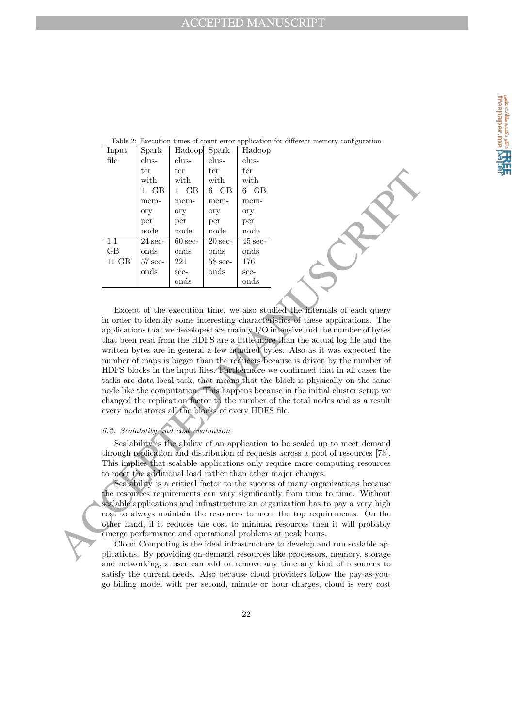| í |
|---|
|   |
|   |
|   |
|   |
|   |
|   |
|   |
|   |
|   |
|   |
|   |
|   |
|   |
|   |
|   |
|   |
|   |

 $\rightarrow$ 

| Input                                                                                                                                                          | Spark                                                                             | Hadoop           | Spark     | Hadoop                                                                                                                                                        |  |  |
|----------------------------------------------------------------------------------------------------------------------------------------------------------------|-----------------------------------------------------------------------------------|------------------|-----------|---------------------------------------------------------------------------------------------------------------------------------------------------------------|--|--|
| file                                                                                                                                                           | clus-                                                                             | clus-            | clus-     | clus-                                                                                                                                                         |  |  |
|                                                                                                                                                                | ter                                                                               | ter              | ter       | ter                                                                                                                                                           |  |  |
|                                                                                                                                                                | with                                                                              | with             | with      | with                                                                                                                                                          |  |  |
|                                                                                                                                                                | GB<br>1                                                                           | $1$ GB           | $6$ GB    | $6$ GB                                                                                                                                                        |  |  |
|                                                                                                                                                                | mem-                                                                              | mem-             | mem-      | mem-                                                                                                                                                          |  |  |
|                                                                                                                                                                | ory                                                                               | ory              | ory       | ory                                                                                                                                                           |  |  |
|                                                                                                                                                                | per                                                                               | per              | per       | per                                                                                                                                                           |  |  |
|                                                                                                                                                                | node                                                                              | node             | node      | node                                                                                                                                                          |  |  |
| 1.1                                                                                                                                                            | $24$ sec-                                                                         | $60 \text{ sec}$ | $20$ sec- | $45$ sec-                                                                                                                                                     |  |  |
| GB                                                                                                                                                             | onds                                                                              | onds             | onds      | onds                                                                                                                                                          |  |  |
| 11 GB                                                                                                                                                          | $57$ sec-                                                                         | 221              | $58$ sec- | 176                                                                                                                                                           |  |  |
|                                                                                                                                                                | onds                                                                              | sec-             | onds      | sec-                                                                                                                                                          |  |  |
|                                                                                                                                                                |                                                                                   | onds             |           | onds                                                                                                                                                          |  |  |
|                                                                                                                                                                |                                                                                   |                  |           |                                                                                                                                                               |  |  |
|                                                                                                                                                                |                                                                                   |                  |           |                                                                                                                                                               |  |  |
|                                                                                                                                                                |                                                                                   |                  |           | Except of the execution time, we also studied the internals of each query<br>in order to identify some interesting characteristics of these applications. The |  |  |
|                                                                                                                                                                |                                                                                   |                  |           | applications that we developed are mainly $I/O$ intensive and the number of bytes                                                                             |  |  |
|                                                                                                                                                                |                                                                                   |                  |           | that been read from the HDFS are a little more than the actual log file and the                                                                               |  |  |
|                                                                                                                                                                |                                                                                   |                  |           |                                                                                                                                                               |  |  |
| written bytes are in general a few hundred bytes. Also as it was expected the<br>number of maps is bigger than the reducers because is driven by the number of |                                                                                   |                  |           |                                                                                                                                                               |  |  |
|                                                                                                                                                                | HDFS blocks in the input files. Furthermore we confirmed that in all cases the    |                  |           |                                                                                                                                                               |  |  |
|                                                                                                                                                                | tasks are data-local task, that means that the block is physically on the same    |                  |           |                                                                                                                                                               |  |  |
| node like the computation. This happens because in the initial cluster setup we                                                                                |                                                                                   |                  |           |                                                                                                                                                               |  |  |
| changed the replication factor to the number of the total nodes and as a result                                                                                |                                                                                   |                  |           |                                                                                                                                                               |  |  |
| every node stores all the blocks of every HDFS file.                                                                                                           |                                                                                   |                  |           |                                                                                                                                                               |  |  |
|                                                                                                                                                                |                                                                                   |                  |           |                                                                                                                                                               |  |  |
| 6.2. Scalability and cost evaluation                                                                                                                           |                                                                                   |                  |           |                                                                                                                                                               |  |  |
|                                                                                                                                                                |                                                                                   |                  |           | Scalability is the ability of an application to be scaled up to meet demand                                                                                   |  |  |
|                                                                                                                                                                | through replication and distribution of requests across a pool of resources [73]. |                  |           |                                                                                                                                                               |  |  |
|                                                                                                                                                                |                                                                                   |                  |           | This implies that scalable applications only require more computing resources                                                                                 |  |  |
| to meet the additional load rather than other major changes.                                                                                                   |                                                                                   |                  |           |                                                                                                                                                               |  |  |
| Scalability is a critical factor to the success of many organizations because                                                                                  |                                                                                   |                  |           |                                                                                                                                                               |  |  |
|                                                                                                                                                                | the resources requirements can vary significantly from time to time. Without      |                  |           |                                                                                                                                                               |  |  |
|                                                                                                                                                                |                                                                                   |                  |           | scalable applications and infrastructure an organization has to pay a very high                                                                               |  |  |
|                                                                                                                                                                |                                                                                   |                  |           | cost to always maintain the resources to meet the top requirements. On the                                                                                    |  |  |
|                                                                                                                                                                |                                                                                   |                  |           | other hand, if it reduces the cost to minimal resources then it will probably                                                                                 |  |  |
|                                                                                                                                                                |                                                                                   |                  |           | emerge performance and operational problems at peak hours.                                                                                                    |  |  |
|                                                                                                                                                                |                                                                                   |                  |           | Cloud Computing is the ideal infrastructure to develop and run scalable ap-                                                                                   |  |  |
|                                                                                                                                                                |                                                                                   |                  |           | plications. By providing on-demand resources like processors, memory, storage                                                                                 |  |  |

Table 2: Execution times of count error application for different memory configuration

## 6.2. Scalability and cost evaluation

Cloud Computing is the ideal infrastructure to develop and run scalable applications. By providing on-demand resources like processors, memory, storage and networking, a user can add or remove any time any kind of resources to satisfy the current needs. Also because cloud providers follow the pay-as-yougo billing model with per second, minute or hour charges, cloud is very cost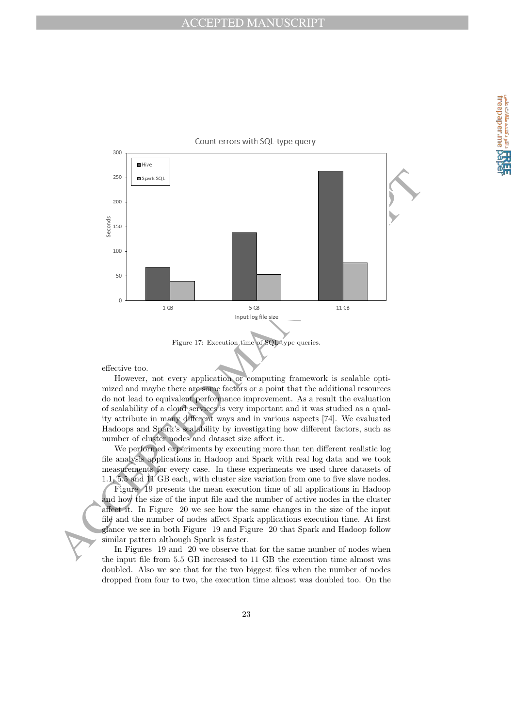

effective too.

However, not every application or computing framework is scalable optimized and maybe there are some factors or a point that the additional resources do not lead to equivalent performance improvement. As a result the evaluation of scalability of a cloud services is very important and it was studied as a quality attribute in many different ways and in various aspects [74]. We evaluated Hadoops and Spark's scalability by investigating how different factors, such as number of cluster nodes and dataset size affect it.

We performed experiments by executing more than ten different realistic log file analysis applications in Hadoop and Spark with real log data and we took measurements for every case. In these experiments we used three datasets of 1.1, 5.5 and 11 GB each, with cluster size variation from one to five slave nodes.

Figure 19 presents the mean execution time of all applications in Hadoop and how the size of the input file and the number of active nodes in the cluster affect it. In Figure 20 we see how the same changes in the size of the input file and the number of nodes affect Spark applications execution time. At first glance we see in both Figure 19 and Figure 20 that Spark and Hadoop follow similar pattern although Spark is faster.

In Figures 19 and 20 we observe that for the same number of nodes when the input file from 5.5 GB increased to 11 GB the execution time almost was doubled. Also we see that for the two biggest files when the number of nodes dropped from four to two, the execution time almost was doubled too. On the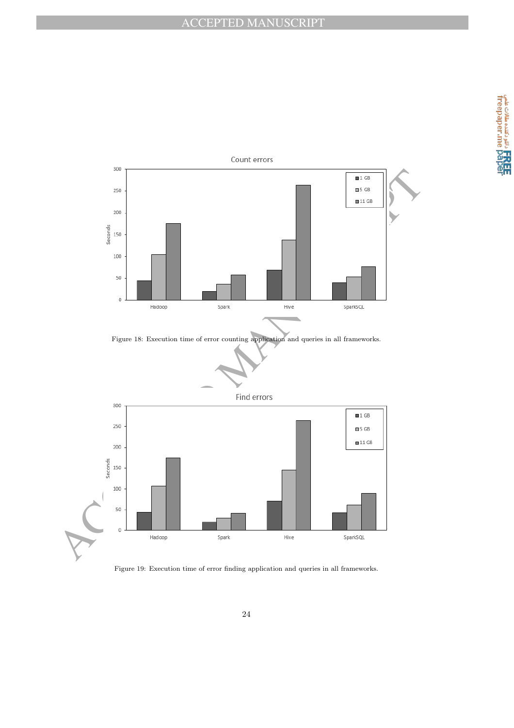# ACCEPTED MANUSCRIPT

Calle Colline outstoor PREE



Figure 19: Execution time of error finding application and queries in all frameworks.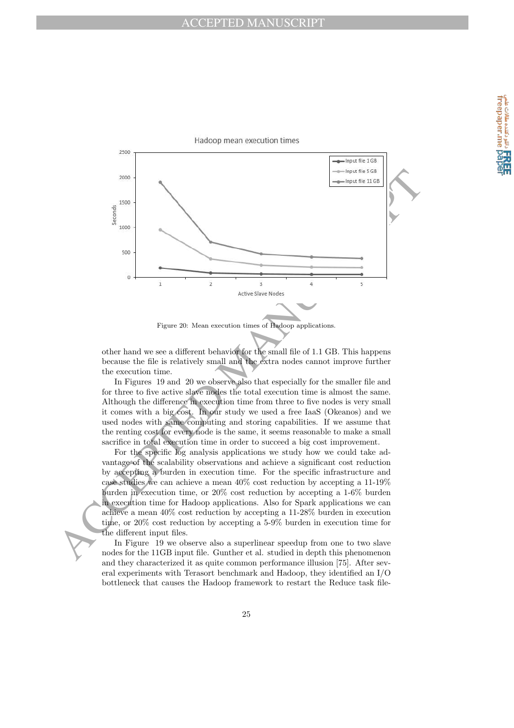

Figure 20: Mean execution times of Hadoop applications.

other hand we see a different behavior for the small file of 1.1 GB. This happens because the file is relatively small and the extra nodes cannot improve further the execution time.

In Figures 19 and 20 we observe also that especially for the smaller file and for three to five active slave nodes the total execution time is almost the same. Although the difference in execution time from three to five nodes is very small it comes with a big cost. In our study we used a free IaaS (Okeanos) and we used nodes with same computing and storing capabilities. If we assume that the renting cost for every node is the same, it seems reasonable to make a small sacrifice in total execution time in order to succeed a big cost improvement.

For the specific log analysis applications we study how we could take advantage of the scalability observations and achieve a significant cost reduction by accepting a burden in execution time. For the specific infrastructure and case studies we can achieve a mean 40% cost reduction by accepting a 11-19% burden in execution time, or 20% cost reduction by accepting a 1-6% burden in execution time for Hadoop applications. Also for Spark applications we can achieve a mean 40% cost reduction by accepting a 11-28% burden in execution time, or 20% cost reduction by accepting a 5-9% burden in execution time for the different input files.

In Figure 19 we observe also a superlinear speedup from one to two slave nodes for the 11GB input file. Gunther et al. studied in depth this phenomenon and they characterized it as quite common performance illusion [75]. After several experiments with Terasort benchmark and Hadoop, they identified an I/O bottleneck that causes the Hadoop framework to restart the Reduce task file-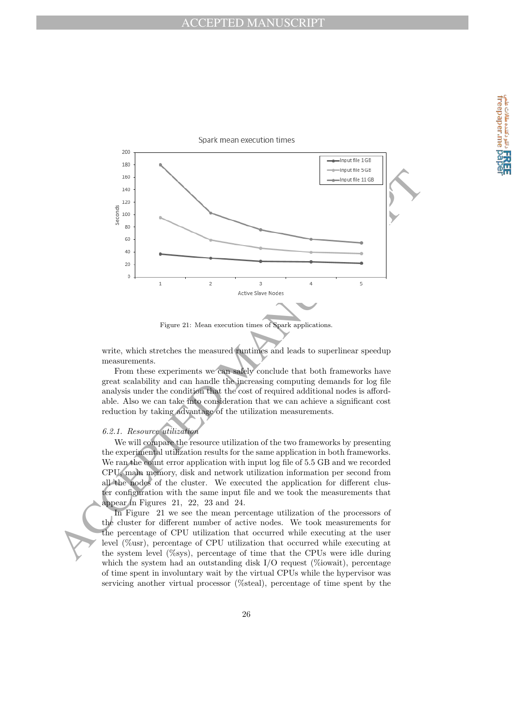

write, which stretches the measured runtimes and leads to superlinear speedup measurements.

From these experiments we can safely conclude that both frameworks have great scalability and can handle the increasing computing demands for log file analysis under the condition that the cost of required additional nodes is affordable. Also we can take into consideration that we can achieve a significant cost reduction by taking advantage of the utilization measurements.

#### 6.2.1. Resource utilization

We will compare the resource utilization of the two frameworks by presenting the experimental utilization results for the same application in both frameworks. We ran the count error application with input log file of 5.5 GB and we recorded CPU, main memory, disk and network utilization information per second from all the nodes of the cluster. We executed the application for different cluster configuration with the same input file and we took the measurements that appear in Figures 21, 22, 23 and 24.

In Figure 21 we see the mean percentage utilization of the processors of the cluster for different number of active nodes. We took measurements for the percentage of CPU utilization that occurred while executing at the user level (%usr), percentage of CPU utilization that occurred while executing at the system level (%sys), percentage of time that the CPUs were idle during which the system had an outstanding disk I/O request (%iowait), percentage of time spent in involuntary wait by the virtual CPUs while the hypervisor was servicing another virtual processor (%steal), percentage of time spent by the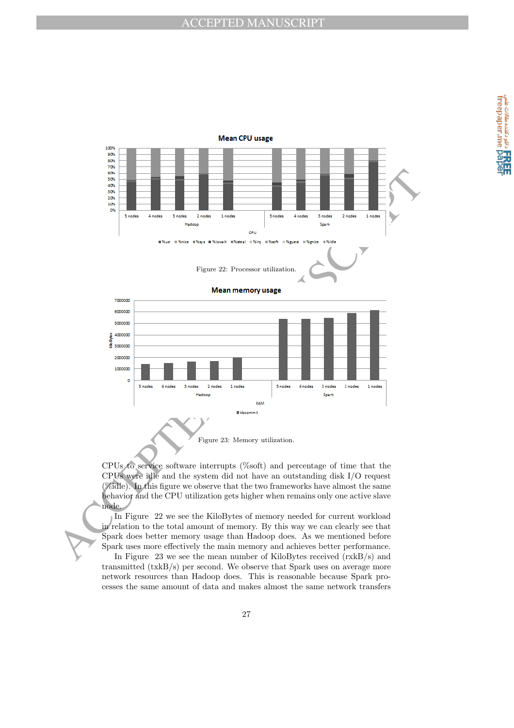# ACCEPTED MANUSCRIPT





Figure 23: Memory utilization.

In Figure 22 we see the KiloBytes of memory needed for current workload in relation to the total amount of memory. By this way we can clearly see that Spark does better memory usage than Hadoop does. As we mentioned before Spark uses more effectively the main memory and achieves better performance.

In Figure 23 we see the mean number of KiloBytes received  $(rxkB/s)$  and transmitted (txkB/s) per second. We observe that Spark uses on average more network resources than Hadoop does. This is reasonable because Spark processes the same amount of data and makes almost the same network transfers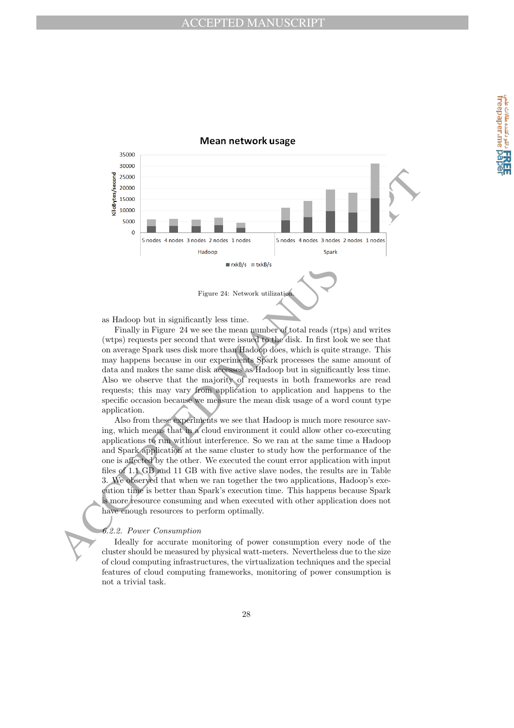

# Mean network usage

as Hadoop but in significantly less time.

Finally in Figure 24 we see the mean number of total reads (rtps) and writes (wtps) requests per second that were issued to the disk. In first look we see that on average Spark uses disk more than Hadoop does, which is quite strange. This may happens because in our experiments Spark processes the same amount of data and makes the same disk accesses as Hadoop but in significantly less time. Also we observe that the majority of requests in both frameworks are read requests; this may vary from application to application and happens to the specific occasion because we measure the mean disk usage of a word count type application.

Also from these experiments we see that Hadoop is much more resource saving, which means that in a cloud environment it could allow other co-executing applications to run without interference. So we ran at the same time a Hadoop and Spark application at the same cluster to study how the performance of the one is affected by the other. We executed the count error application with input files of 1.1 GB and 11 GB with five active slave nodes, the results are in Table 3. We observed that when we ran together the two applications, Hadoop's execution time is better than Spark's execution time. This happens because Spark is more resource consuming and when executed with other application does not have enough resources to perform optimally.

## 6.2.2. Power Consumption

Ideally for accurate monitoring of power consumption every node of the cluster should be measured by physical watt-meters. Nevertheless due to the size of cloud computing infrastructures, the virtualization techniques and the special features of cloud computing frameworks, monitoring of power consumption is not a trivial task.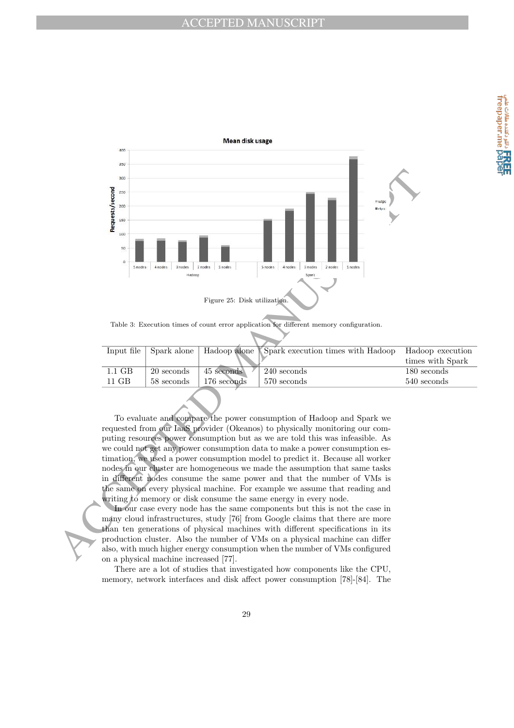

Table 3: Execution times of count error application for different memory configuration.

| Input file | Spark alone |             | Hadoop alone Spark execution times with Hadoop | Hadoop execution |
|------------|-------------|-------------|------------------------------------------------|------------------|
|            |             |             |                                                | times with Spark |
| $1.1$ GB   | 20 seconds  | 45 seconds  | 240 seconds                                    | 180 seconds      |
| $11$ GB    | 58 seconds  | 176 seconds | 570 seconds                                    | 540 seconds      |
|            |             |             |                                                |                  |

To evaluate and compare the power consumption of Hadoop and Spark we requested from our IaaS provider (Okeanos) to physically monitoring our computing resources power consumption but as we are told this was infeasible. As we could not get any power consumption data to make a power consumption estimation, we used a power consumption model to predict it. Because all worker nodes in our cluster are homogeneous we made the assumption that same tasks in different nodes consume the same power and that the number of VMs is the same on every physical machine. For example we assume that reading and writing to memory or disk consume the same energy in every node.

In our case every node has the same components but this is not the case in many cloud infrastructures, study [76] from Google claims that there are more than ten generations of physical machines with different specifications in its production cluster. Also the number of VMs on a physical machine can differ also, with much higher energy consumption when the number of VMs configured on a physical machine increased [77].

There are a lot of studies that investigated how components like the CPU, memory, network interfaces and disk affect power consumption [78]-[84]. The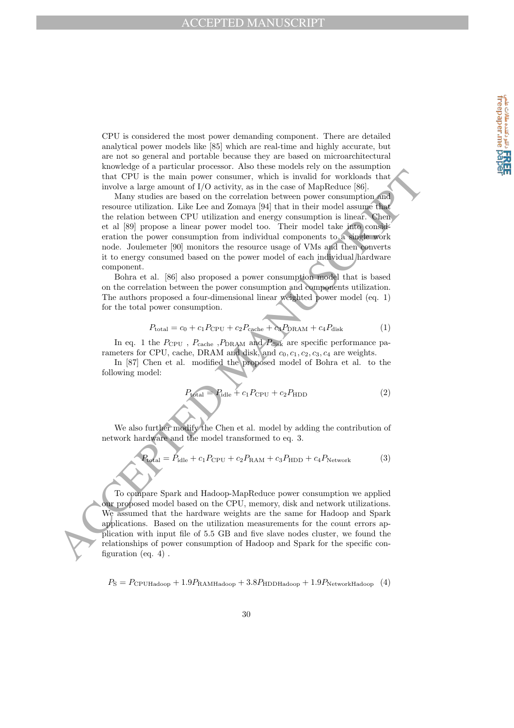CPU is considered the most power demanding component. There are detailed analytical power models like [85] which are real-time and highly accurate, but are not so general and portable because they are based on microarchitectural knowledge of a particular processor. Also these models rely on the assumption that CPU is the main power consumer, which is invalid for workloads that involve a large amount of I/O activity, as in the case of MapReduce [86].

In the CPU is the main power consumer, which is involded for weakends in<br>the model of the model on the control of the model on the model on the model on the model on the model on the control and the model on the model on Many studies are based on the correlation between power consumption and resource utilization. Like Lee and Zomaya [94] that in their model assume that the relation between CPU utilization and energy consumption is linear. Chen et al [89] propose a linear power model too. Their model take into consideration the power consumption from individual components to a single work node. Joulemeter [90] monitors the resource usage of VMs and then converts it to energy consumed based on the power model of each individual hardware component.

Bohra et al. [86] also proposed a power consumption model that is based on the correlation between the power consumption and components utilization. The authors proposed a four-dimensional linear weighted power model (eq. 1) for the total power consumption.

$$
P_{\text{total}} = c_0 + c_1 P_{\text{CPU}} + c_2 P_{\text{cache}} + c_3 P_{\text{DRAM}} + c_4 P_{\text{disk}} \tag{1}
$$

In eq. 1 the  $P_{\text{CPU}}$ ,  $P_{\text{cache}}$ ,  $P_{\text{DRAM}}$  and  $P_{\text{disk}}$  are specific performance parameters for CPU, cache, DRAM and disk, and  $c_0, c_1, c_2, c_3, c_4$  are weights.

In [87] Chen et al. modified the proposed model of Bohra et al. to the following model:

$$
P_{\text{total}} = P_{\text{idle}} + c_1 P_{\text{CPU}} + c_2 P_{\text{HDD}} \tag{2}
$$

We also further modify the Chen et al. model by adding the contribution of network hardware and the model transformed to eq. 3.

$$
P_{\text{total}} = P_{\text{idle}} + c_1 P_{\text{CPU}} + c_2 P_{\text{RAM}} + c_3 P_{\text{HDD}} + c_4 P_{\text{Network}}
$$
(3)

To compare Spark and Hadoop-MapReduce power consumption we applied our proposed model based on the CPU, memory, disk and network utilizations. We assumed that the hardware weights are the same for Hadoop and Spark applications. Based on the utilization measurements for the count errors application with input file of 5.5 GB and five slave nodes cluster, we found the relationships of power consumption of Hadoop and Spark for the specific configuration (eq. 4) .

$$
P_{\rm S} = P_{\rm CPUHadoop} + 1.9 P_{\rm RAMHadoop} + 3.8 P_{\rm HDDHadoop} + 1.9 P_{\rm NetworkHadoop} \quad (4)
$$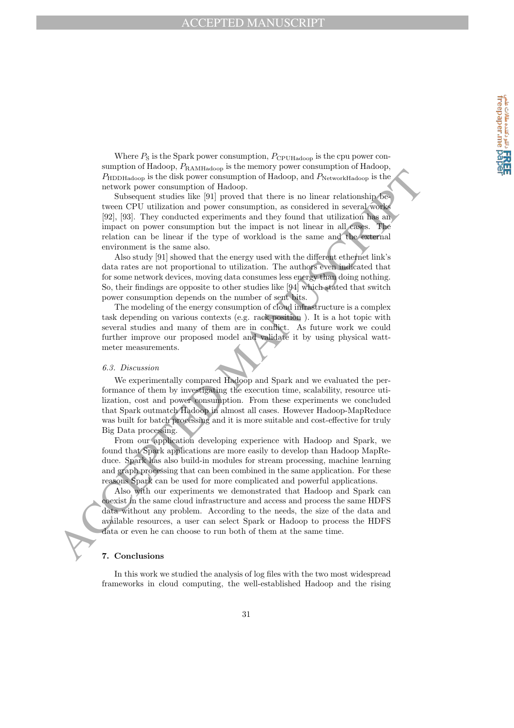Where  $P<sub>S</sub>$  is the Spark power consumption,  $P_{\text{CPUHadoop}}$  is the cpu power consumption of Hadoop,  $P_{\text{RAMHadoop}}$  is the memory power consumption of Hadoop,  $P_{\rm HDDHadoon}$  is the disk power consumption of Hadoop, and  $P_{\rm NetworkHadoon}$  is the network power consumption of Hadoop.

The<br>paradog, is the disk power consumption of Hodoco, and Two<br>constraines is the resultion of the consumption of Hodoco, and However and<br>consumption of Hodoco, and However consumption, as considered in several,<br>could expe Subsequent studies like [91] proved that there is no linear relationship between CPU utilization and power consumption, as considered in several works [92], [93]. They conducted experiments and they found that utilization has an impact on power consumption but the impact is not linear in all cases. The relation can be linear if the type of workload is the same and the external environment is the same also.

Also study [91] showed that the energy used with the different ethernet link's data rates are not proportional to utilization. The authors even indicated that for some network devices, moving data consumes less energy than doing nothing. So, their findings are opposite to other studies like [94] which stated that switch power consumption depends on the number of sent bits.

The modeling of the energy consumption of cloud infrastructure is a complex task depending on various contexts (e.g. rack position ). It is a hot topic with several studies and many of them are in conflict. As future work we could further improve our proposed model and validate it by using physical wattmeter measurements.

#### 6.3. Discussion

We experimentally compared Hadoop and Spark and we evaluated the performance of them by investigating the execution time, scalability, resource utilization, cost and power consumption. From these experiments we concluded that Spark outmatch Hadoop in almost all cases. However Hadoop-MapReduce was built for batch processing and it is more suitable and cost-effective for truly Big Data processing.

From our application developing experience with Hadoop and Spark, we found that Spark applications are more easily to develop than Hadoop MapReduce. Spark has also build-in modules for stream processing, machine learning and graph processing that can been combined in the same application. For these reasons Spark can be used for more complicated and powerful applications.

Also with our experiments we demonstrated that Hadoop and Spark can coexist in the same cloud infrastructure and access and process the same HDFS data without any problem. According to the needs, the size of the data and available resources, a user can select Spark or Hadoop to process the HDFS data or even he can choose to run both of them at the same time.

### 7. Conclusions

In this work we studied the analysis of log files with the two most widespread frameworks in cloud computing, the well-established Hadoop and the rising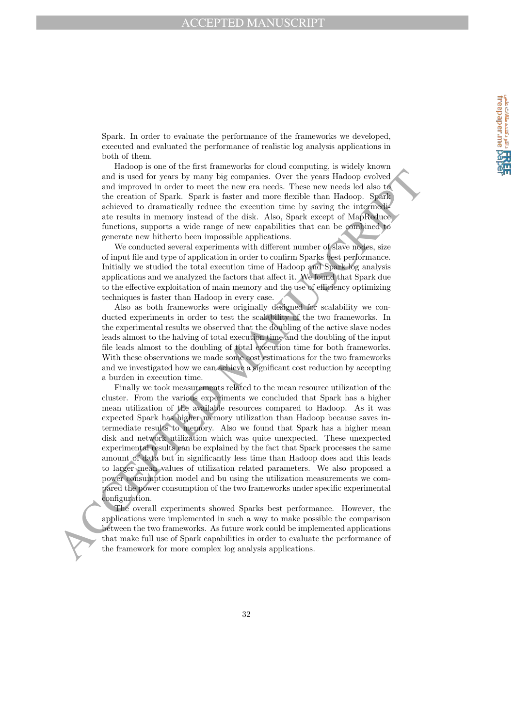Spark. In order to evaluate the performance of the frameworks we developed, executed and evaluated the performance of realistic log analysis applications in both of them.

Hadoop is one of the first frameworks for cloud computing, is widely known and is used for years by many big companies. Over the years Hadoop evolved and improved in order to meet the new era needs. These new needs led also to the creation of Spark. Spark is faster and more flexible than Hadoop. Spark achieved to dramatically reduce the execution time by saving the intermediate results in memory instead of the disk. Also, Spark except of MapReduce functions, supports a wide range of new capabilities that can be combined to generate new hitherto been impossible applications.

We conducted several experiments with different number of slave nodes, size of input file and type of application in order to confirm Sparks best performance. Initially we studied the total execution time of Hadoop and Spark log analysis applications and we analyzed the factors that affect it. We found that Spark due to the effective exploitation of main memory and the use of efficiency optimizing techniques is faster than Hadoop in every case.

Also as both frameworks were originally designed for scalability we conducted experiments in order to test the scalability of the two frameworks. In the experimental results we observed that the doubling of the active slave nodes leads almost to the halving of total execution time and the doubling of the input file leads almost to the doubling of total execution time for both frameworks. With these observations we made some cost estimations for the two frameworks and we investigated how we can achieve a significant cost reduction by accepting a burden in execution time.

and is used for years by many big companis. Over the years Hodeoy evolved the creation of Space. Some is a factor and move of the creation of Space is the step and move for the creation of the step and move forcellele tam Finally we took measurements related to the mean resource utilization of the cluster. From the various experiments we concluded that Spark has a higher mean utilization of the available resources compared to Hadoop. As it was expected Spark has higher memory utilization than Hadoop because saves intermediate results to memory. Also we found that Spark has a higher mean disk and network utilization which was quite unexpected. These unexpected experimental results can be explained by the fact that Spark processes the same amount of data but in significantly less time than Hadoop does and this leads to larger mean values of utilization related parameters. We also proposed a power consumption model and bu using the utilization measurements we compared the power consumption of the two frameworks under specific experimental configuration.

The overall experiments showed Sparks best performance. However, the applications were implemented in such a way to make possible the comparison between the two frameworks. As future work could be implemented applications that make full use of Spark capabilities in order to evaluate the performance of the framework for more complex log analysis applications.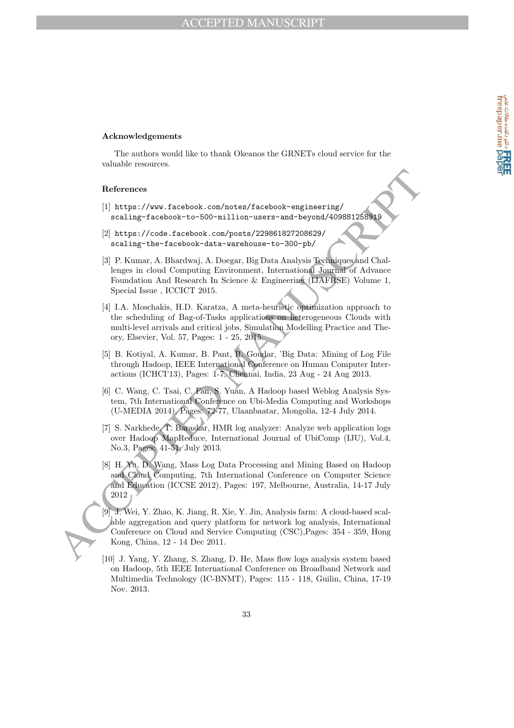### Acknowledgements

The authors would like to thank Okeanos the GRNETs cloud service for the valuable resources.

### References

- [1] https://www.facebook.com/notes/facebook-engineering/ scaling-facebook-to-500-million-users-and-beyond/409881258919
- [2] https://code.facebook.com/posts/229861827208629/ scaling-the-facebook-data-warehouse-to-300-pb/
- [3] P. Kumar, A. Bhardwaj, A. Doegar, Big Data Analysis Techniques and Challenges in cloud Computing Environment, International Journal of Advance Foundation And Research In Science & Engineering (IJAFRSE) Volume 1, Special Issue , ICCICT 2015.
- References<br>
(1) https://www.facebook.con/notes/facebook-engineering/<br>
scaling-facebook-to-500-million-users-and-beyond/408881259882<br>
(2) https://code.facebook.com/notes/22988182798829<br>
(2) https://code.facebook.com/notes/ [4] I.A. Moschakis, H.D. Karatza, A meta-heuristic optimization approach to the scheduling of Bag-of-Tasks applications on heterogeneous Clouds with multi-level arrivals and critical jobs, Simulation Modelling Practice and Theory, Elsevier, Vol. 57, Pages: 1 - 25, 2015.
	- [5] B. Kotiyal, A. Kumar, B. Pant, R. Goudar, 'Big Data: Mining of Log File through Hadoop, IEEE International Conference on Human Computer Interactions (ICHCI'13), Pages: 1-7, Chennai, India, 23 Aug - 24 Aug 2013.
	- [6] C. Wang, C. Tsai, C. Fan, S. Yuan, A Hadoop based Weblog Analysis System, 7th International Conference on Ubi-Media Computing and Workshops (U-MEDIA 2014), Pages: 72-77, Ulaanbaatar, Mongolia, 12-4 July 2014.
	- [7] S. Narkhede, T. Baraskar, HMR log analyzer: Analyze web application logs over Hadoop MapReduce, International Journal of UbiComp (IJU), Vol.4, No.3, Pages: 41-51, July 2013.
	- [8] H. Yu, D. Wang, Mass Log Data Processing and Mining Based on Hadoop and Cloud Computing, 7th International Conference on Computer Science and Education (ICCSE 2012), Pages: 197, Melbourne, Australia, 14-17 July 2012
	- [9] J. Wei, Y. Zhao, K. Jiang, R. Xie, Y. Jin, Analysis farm: A cloud-based scalable aggregation and query platform for network log analysis, International Conference on Cloud and Service Computing (CSC),Pages: 354 - 359, Hong Kong, China, 12 - 14 Dec 2011.
	- [10] J. Yang, Y. Zhang, S. Zhang, D. He, Mass flow logs analysis system based on Hadoop, 5th IEEE International Conference on Broadband Network and Multimedia Technology (IC-BNMT), Pages: 115 - 118, Guilin, China, 17-19 Nov. 2013.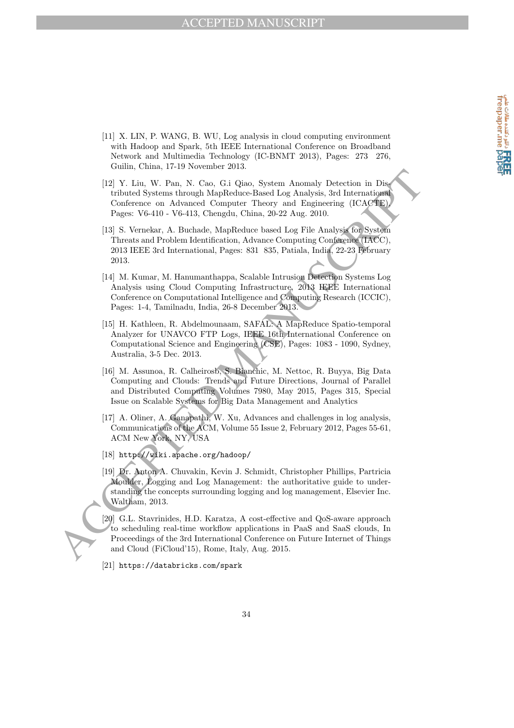- [11] X. LIN, P. WANG, B. WU, Log analysis in cloud computing environment with Hadoop and Spark, 5th IEEE International Conference on Broadband Network and Multimedia Technology (IC-BNMT 2013), Pages: 273 276, Guilin, China, 17-19 November 2013.
- [12] Y. Liu, W. Pan, N. Cao, G.i Qiao, System Anomaly Detection in Distributed Systems through MapReduce-Based Log Analysis, 3rd International Conference on Advanced Computer Theory and Engineering (ICACTE), Pages: V6-410 - V6-413, Chengdu, China, 20-22 Aug. 2010.
- [13] S. Vernekar, A. Buchade, MapReduce based Log File Analysis for System Threats and Problem Identification, Advance Computing Conference (IACC), 2013 IEEE 3rd International, Pages: 831 835, Patiala, India, 22-23 February 2013.
- [14] M. Kumar, M. Hanumanthappa, Scalable Intrusion Detection Systems Log Analysis using Cloud Computing Infrastructure, 2013 IEEE International Conference on Computational Intelligence and Computing Research (ICCIC), Pages: 1-4, Tamilnadu, India, 26-8 December 2013.
- 191 Y. Lin, W. Pan, N. Cao, G.<br/>i Qioo, System Anomaly Detection in Dietyrbither System Anomaly Moph<br/>decompeter and Momed Computer Theory and Engineering (ICACTE)<br/>Pages: V6-410 V6-413, Chengchu, China, 29-22 [15] H. Kathleen, R. Abdelmounaam, SAFAL: A MapReduce Spatio-temporal Analyzer for UNAVCO FTP Logs, IEEE 16th International Conference on Computational Science and Engineering (CSE), Pages: 1083 - 1090, Sydney, Australia, 3-5 Dec. 2013.
	- [16] M. Assunoa, R. Calheirosb, S. Bianchic, M. Nettoc, R. Buyya, Big Data Computing and Clouds: Trends and Future Directions, Journal of Parallel and Distributed Computing Volumes 7980, May 2015, Pages 315, Special Issue on Scalable Systems for Big Data Management and Analytics
	- [17] A. Oliner, A. Ganapathi, W. Xu, Advances and challenges in log analysis, Communications of the ACM, Volume 55 Issue 2, February 2012, Pages 55-61, ACM New York, NY, USA
	- [18] http://wiki.apache.org/hadoop/
	- [19] Dr. Anton A. Chuvakin, Kevin J. Schmidt, Christopher Phillips, Partricia Moulder, Logging and Log Management: the authoritative guide to understanding the concepts surrounding logging and log management, Elsevier Inc. Waltham, 2013.
	- [20] G.L. Stavrinides, H.D. Karatza, A cost-effective and QoS-aware approach to scheduling real-time workflow applications in PaaS and SaaS clouds, In Proceedings of the 3rd International Conference on Future Internet of Things and Cloud (FiCloud'15), Rome, Italy, Aug. 2015.
	- [21] https://databricks.com/spark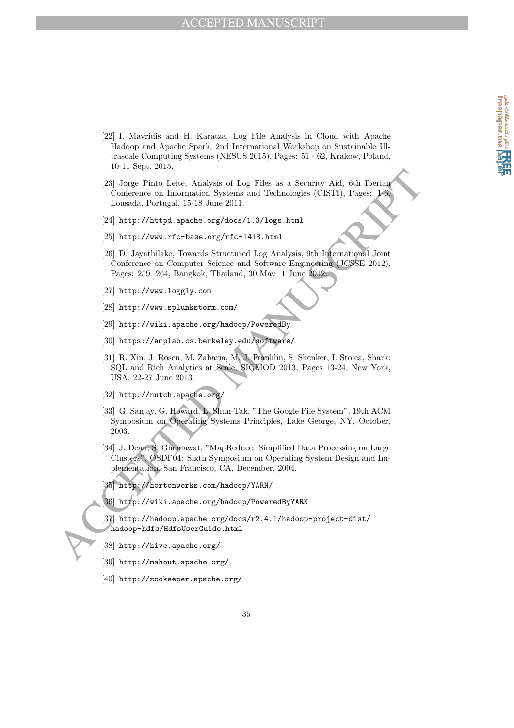- [22] I. Mavridis and H. Karatza, Log File Analysis in Cloud with Apache Hadoop and Apache Spark, 2nd International Workshop on Sustainable Ultrascale Computing Systems (NESUS 2015), Pages: 51 - 62, Krakow, Poland, 10-11 Sept. 2015.
- [23] Jorge Pinto Leite, Analysis of Log Files as a Security Aid, 6th Iberian Conference on Information Systems and Technologies (CISTI), Pages: Lousada, Portugal, 15-18 June 2011.
- [24] http://httpd.apache.org/docs/1.3/logs.html
- [25] http://www.rfc-base.org/rfc-1413.html
- [26] D. Jayathilake, Towards Structured Log Analysis, 9th International Joint Conference on Computer Science and Software Engineering (JCSSE 2012), Pages: 259 264, Bangkok, Thailand, 30 May 1 June 2012.
- [27] http://www.loggly.com
- [28] http://www.splunkstorm.com/
- [29] http://wiki.apache.org/hadoop/PoweredBy
- [30] https://amplab.cs.berkeley.edu/software/
- [31] R. Xin, J. Rosen, M. Zaharia, M. J. Franklin, S. Shenker, I. Stoica, Shark: SQL and Rich Analytics at Scale, SIGMOD 2013, Pages 13-24, New York, USA, 22-27 June 2013.
- [32] http://nutch.apache.org/
- [33] G. Sanjay, G. Howard, L. Shun-Tak, "The Google File System", 19th ACM Symposium on Operating Systems Principles, Lake George, NY, October, 2003.
- 23] Jorge Pinto Leite, Analysis of Log Files as a Security Aid, 6th Boring Conference on Information Systems and Technologies (CISTI), Pages: Analysis Joseph Leiter/Artride agents. 27 and 2011.<br>
23 http://http://artende.o [34] J. Dean, S. Ghemawat, "MapReduce: Simplified Data Processing on Large Clusters", OSDI'04: Sixth Symposium on Operating System Design and Implementation, San Francisco, CA, December, 2004.
	- [35] http://hortonworks.com/hadoop/YARN/
	- [36] http://wiki.apache.org/hadoop/PoweredByYARN
	- [37] http://hadoop.apache.org/docs/r2.4.1/hadoop-project-dist/ hadoop-hdfs/HdfsUserGuide.html
	- [38] http://hive.apache.org/
	- [39] http://mahout.apache.org/
	- [40] http://zookeeper.apache.org/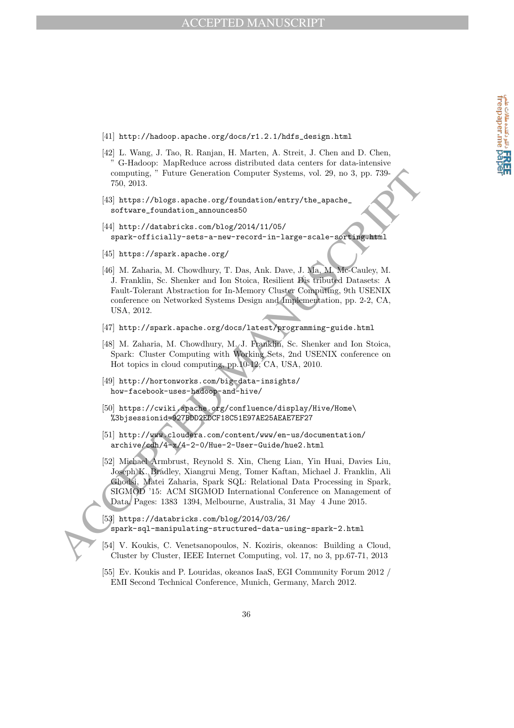- [41] http://hadoop.apache.org/docs/r1.2.1/hdfs\_design.html
- [42] L. Wang, J. Tao, R. Ranjan, H. Marten, A. Streit, J. Chen and D. Chen, " G-Hadoop: MapReduce across distributed data centers for data-intensive computing, " Future Generation Computer Systems, vol. 29, no 3, pp. 739- 750, 2013.
- [43] https://blogs.apache.org/foundation/entry/the\_apache\_ software\_foundation\_announces50
- [44] http://databricks.com/blog/2014/11/05/ spark-officially-sets-a-new-record-in-large-scale-sorting.html
- [45] https://spark.apache.org/
- computing. "Putter Generation Computer Systems, vol. 29, no 3, pp. 739, 750, 2013.<br>
T50, 2013.<br>
(iv) https://dasabriche.org/foundation/entry/the.apache.org/foundation/entry/the.apache.org/foundation.amount.ess0<br>
ord to th [46] M. Zaharia, M. Chowdhury, T. Das, Ank. Dave, J. Ma, M. Mc-Cauley, M. J. Franklin, Sc. Shenker and Ion Stoica, Resilient Dis tributed Datasets: A Fault-Tolerant Abstraction for In-Memory Cluster Computing, 9th USENIX conference on Networked Systems Design and Implementation, pp. 2-2, CA, USA, 2012.
	- [47] http://spark.apache.org/docs/latest/programming-guide.html
	- [48] M. Zaharia, M. Chowdhury, M. J. Franklin, Sc. Shenker and Ion Stoica, Spark: Cluster Computing with Working Sets, 2nd USENIX conference on Hot topics in cloud computing, pp.10-12, CA, USA, 2010.
	- [49] http://hortonworks.com/big-data-insights/ how-facebook-uses-hadoop-and-hive/
	- [50] https://cwiki.apache.org/confluence/display/Hive/Home\ %3bjsessionid=927BDD2EDCF18C51E97AE25AEAE7EF27
	- [51] http://www.cloudera.com/content/www/en-us/documentation/ archive/cdh/4-x/4-2-0/Hue-2-User-Guide/hue2.html
	- [52] Michael Armbrust, Reynold S. Xin, Cheng Lian, Yin Huai, Davies Liu, Joseph K. Bradley, Xiangrui Meng, Tomer Kaftan, Michael J. Franklin, Ali Ghodsi, Matei Zaharia, Spark SQL: Relational Data Processing in Spark, SIGMOD '15: ACM SIGMOD International Conference on Management of Data, Pages: 1383 1394, Melbourne, Australia, 31 May 4 June 2015.
	- [53] https://databricks.com/blog/2014/03/26/ spark-sql-manipulating-structured-data-using-spark-2.html
	- [54] V. Koukis, C. Venetsanopoulos, N. Koziris, okeanos: Building a Cloud, Cluster by Cluster, IEEE Internet Computing, vol. 17, no 3, pp.67-71, 2013
	- [55] Ev. Koukis and P. Louridas, okeanos IaaS, EGI Community Forum 2012 / EMI Second Technical Conference, Munich, Germany, March 2012.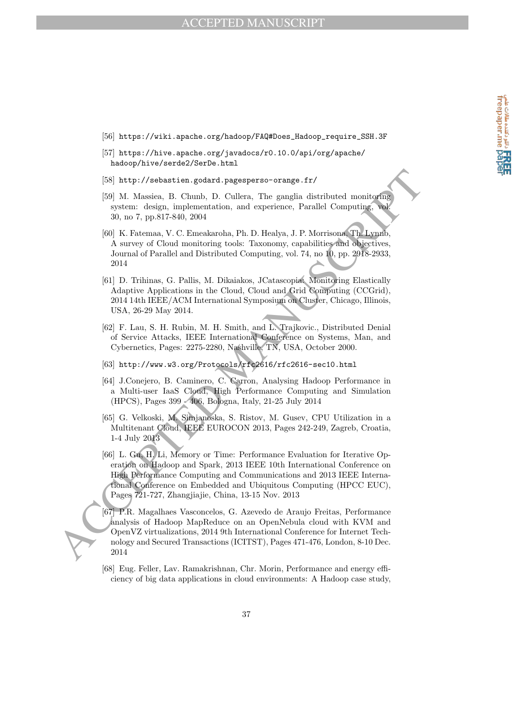- [56] https://wiki.apache.org/hadoop/FAQ#Does\_Hadoop\_require\_SSH.3F
- [57] https://hive.apache.org/javadocs/r0.10.0/api/org/apache/ hadoop/hive/serde2/SerDe.html
- [58] http://sebastien.godard.pagesperso-orange.fr/
- [59] M. Massiea, B. Chunb, D. Cullera, The ganglia distributed monitoring system: design, implementation, and experience, Parallel Computing, vol. 30, no 7, pp.817-840, 2004
- [60] K. Fatemaa, V. C. Emeakaroha, Ph. D. Healya, J. P. Morrisona, Th. Lynnb, A survey of Cloud monitoring tools: Taxonomy, capabilities and objectives, Journal of Parallel and Distributed Computing, vol. 74, no 10, pp. 2918-2933, 2014
- [61] D. Trihinas, G. Pallis, M. Dikaiakos, JCatascopia: Monitoring Elastically Adaptive Applications in the Cloud, Cloud and Grid Computing (CCGrid), 2014 14th IEEE/ACM International Symposium on Cluster, Chicago, Illinois, USA, 26-29 May 2014.
- [62] F. Lau, S. H. Rubin, M. H. Smith, and L. Trajkovic., Distributed Denial of Service Attacks, IEEE International Conference on Systems, Man, and Cybernetics, Pages: 2275-2280, Nashville, TN, USA, October 2000.
- [63] http://www.w3.org/Protocols/rfc2616/rfc2616-sec10.html
- [64] J.Conejero, B. Caminero, C. Carron, Analysing Hadoop Performance in a Multi-user IaaS Cloud, High Performance Computing and Simulation (HPCS), Pages 399 - 406, Bologna, Italy, 21-25 July 2014
- [65] G. Velkoski, M. Simjanoska, S. Ristov, M. Gusev, CPU Utilization in a Multitenant Cloud, IEEE EUROCON 2013, Pages 242-249, Zagreb, Croatia, 1-4 July 2013
- [8] http://sebaratien.godard\_pagesperso-orange.fr/<br>
[8] Mt. Massin, B. Cullera, The sanglia distributed monitoring way<br>
system: design, implementation. and experience, Bradiel Computing way<br>
30, no 7, pp.817-840, 2004<br>
(e [66] L. Gu, H. Li, Memory or Time: Performance Evaluation for Iterative Operation on Hadoop and Spark, 2013 IEEE 10th International Conference on High Performance Computing and Communications and 2013 IEEE International Conference on Embedded and Ubiquitous Computing (HPCC EUC), Pages 721-727, Zhangjiajie, China, 13-15 Nov. 2013
	- [67] P.R. Magalhaes Vasconcelos, G. Azevedo de Araujo Freitas, Performance analysis of Hadoop MapReduce on an OpenNebula cloud with KVM and OpenVZ virtualizations, 2014 9th International Conference for Internet Technology and Secured Transactions (ICITST), Pages 471-476, London, 8-10 Dec. 2014
	- [68] Eug. Feller, Lav. Ramakrishnan, Chr. Morin, Performance and energy efficiency of big data applications in cloud environments: A Hadoop case study,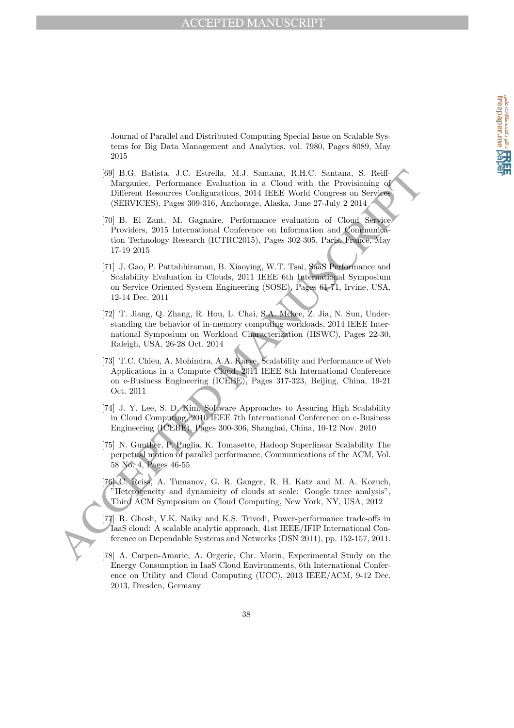Journal of Parallel and Distributed Computing Special Issue on Scalable Systems for Big Data Management and Analytics, vol. 7980, Pages 8089, May 2015

- [69] B.G. Batista, J.C. Estrella, M.J. Santana, R.H.C. Santana, S. Reiff-Marganiec, Performance Evaluation in a Cloud with the Provisioning of Different Resources Configurations, 2014 IEEE World Congress on Services (SERVICES), Pages 309-316, Anchorage, Alaska, June 27-July 2 2014
- [70] B. El Zant, M. Gagnaire, Performance evaluation of Cloud Service Providers, 2015 International Conference on Information and Communication Technology Research (ICTRC2015), Pages 302-305, Paris, France, May 17-19 2015
- [69] B.G. Battsta, J.C. Estrella, M.J. Santan, R.R.H.C. Santan, R. Reift (N. Santan, R. Reift (N. Santan, 2011)<br>
Herena Roomesc Configuration, 2014 IEEE/Weld Congress on Service (SERVICES), Pages 306-316, Anchorage, Alask [71] J. Gao, P. Pattabhiraman, B. Xiaoying, W.T. Tsai, SaaS Performance and Scalability Evaluation in Clouds, 2011 IEEE 6th International Symposium on Service Oriented System Engineering (SOSE), Pages 61-71, Irvine, USA, 12-14 Dec. 2011
	- [72] T. Jiang, Q. Zhang, R. Hou, L. Chai, S.A. Mckee, Z. Jia, N. Sun, Understanding the behavior of in-memory computing workloads, 2014 IEEE International Symposium on Workload Characterization (IISWC), Pages 22-30, Raleigh, USA, 26-28 Oct. 2014
	- [73] T.C. Chieu, A. Mohindra, A.A. Karve, Scalability and Performance of Web Applications in a Compute Cloud, 2011 IEEE 8th International Conference on e-Business Engineering (ICEBE), Pages 317-323, Beijing, China, 19-21 Oct. 2011
	- [74] J. Y. Lee, S. D. Kim, Software Approaches to Assuring High Scalability in Cloud Computing, 2010 IEEE 7th International Conference on e-Business Engineering (ICEBE), Pages 300-306, Shanghai, China, 10-12 Nov. 2010
	- [75] N. Gunther, P. Puglia, K. Tomasette, Hadoop Superlinear Scalability The perpetual motion of parallel performance, Communications of the ACM, Vol. 58 No. 4, Pages 46-55
	- [76] C. Reiss, A. Tumanov, G. R. Ganger, R. H. Katz and M. A. Kozuch, "Heterogeneity and dynamicity of clouds at scale: Google trace analysis", Third ACM Symposium on Cloud Computing, New York, NY, USA, 2012
	- [77] R. Ghosh, V.K. Naiky and K.S. Trivedi, Power-performance trade-offs in IaaS cloud: A scalable analytic approach, 41st IEEE/IFIP International Conference on Dependable Systems and Networks (DSN 2011), pp. 152-157, 2011.
	- [78] A. Carpen-Amarie, A. Orgerie, Chr. Morin, Experimental Study on the Energy Consumption in IaaS Cloud Environments, 6th International Conference on Utility and Cloud Computing (UCC), 2013 IEEE/ACM, 9-12 Dec. 2013, Dresden, Germany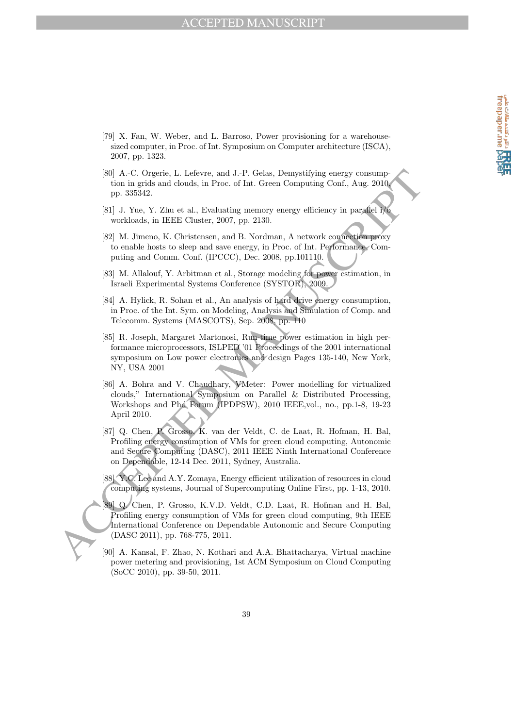- [79] X. Fan, W. Weber, and L. Barroso, Power provisioning for a warehousesized computer, in Proc. of Int. Symposium on Computer architecture (ISCA), 2007, pp. 1323.
- [80] A.-C. Orgerie, L. Lefevre, and J.-P. Gelas, Demystifying energy consumption in grids and clouds, in Proc. of Int. Green Computing Conf., Aug. 2010, pp. 335342.
- [81] J. Yue, Y. Zhu et al., Evaluating memory energy efficiency in parallel  $i/c$ workloads, in IEEE Cluster, 2007, pp. 2130.
- [82] M. Jimeno, K. Christensen, and B. Nordman, A network connection proxy to enable hosts to sleep and save energy, in Proc. of Int. Performance, Computing and Comm. Conf. (IPCCC), Dec. 2008, pp.101110.
- [83] M. Allalouf, Y. Arbitman et al., Storage modeling for power estimation, in Israeli Experimental Systems Conference (SYSTOR), 2009.
- [84] A. Hylick, R. Sohan et al., An analysis of hard drive energy consumption, in Proc. of the Int. Sym. on Modeling, Analysis and Simulation of Comp. and Telecomm. Systems (MASCOTS), Sep. 2008, pp. 110
- [85] R. Joseph, Margaret Martonosi, Run-time power estimation in high performance microprocessors, ISLPED '01 Proceedings of the 2001 international symposium on Low power electronics and design Pages 135-140, New York, NY, USA 2001
- [80] A. C. Orgetic, I. Lefevre, and J. P. Gelss, Denystifying emergy consumption<br>of the mirals and clouds, in Proc. of Int. Green Computing Conf, Aug. 2010,<br>pp. 335342.<br>
[81] J. Y. Zhu et al., Evaluating memory energy eff [86] A. Bohra and V. Chaudhary, VMeter: Power modelling for virtualized clouds," International Symposium on Parallel & Distributed Processing, Workshops and Phd Forum (IPDPSW), 2010 IEEE,vol., no., pp.1-8, 19-23 April 2010.
	- [87] Q. Chen, P. Grosso, K. van der Veldt, C. de Laat, R. Hofman, H. Bal, Profiling energy consumption of VMs for green cloud computing, Autonomic and Secure Computing (DASC), 2011 IEEE Ninth International Conference on Dependable, 12-14 Dec. 2011, Sydney, Australia.
	- [88] Y.C. Lee and A.Y. Zomaya, Energy efficient utilization of resources in cloud computing systems, Journal of Supercomputing Online First, pp. 1-13, 2010.
	- [89] Q. Chen, P. Grosso, K.V.D. Veldt, C.D. Laat, R. Hofman and H. Bal, Profiling energy consumption of VMs for green cloud computing, 9th IEEE International Conference on Dependable Autonomic and Secure Computing (DASC 2011), pp. 768-775, 2011.
	- [90] A. Kansal, F. Zhao, N. Kothari and A.A. Bhattacharya, Virtual machine power metering and provisioning, 1st ACM Symposium on Cloud Computing (SoCC 2010), pp. 39-50, 2011.